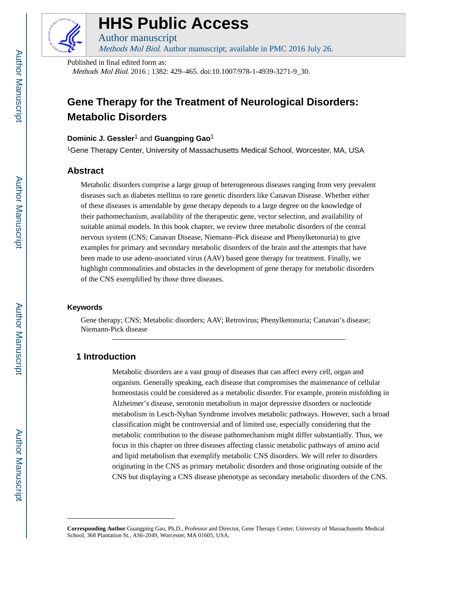

# **HHS Public Access**

Author manuscript Methods Mol Biol. Author manuscript; available in PMC 2016 July 26.

Published in final edited form as: Methods Mol Biol. 2016 ; 1382: 429–465. doi:10.1007/978-1-4939-3271-9\_30.

## **Gene Therapy for the Treatment of Neurological Disorders: Metabolic Disorders**

## **Dominic J. Gessler**1 and **Guangping Gao**<sup>1</sup>

<sup>1</sup>Gene Therapy Center, University of Massachusetts Medical School, Worcester, MA, USA

## **Abstract**

Metabolic disorders comprise a large group of heterogeneous diseases ranging from very prevalent diseases such as diabetes mellitus to rare genetic disorders like Canavan Disease. Whether either of these diseases is amendable by gene therapy depends to a large degree on the knowledge of their pathomechanism, availability of the therapeutic gene, vector selection, and availability of suitable animal models. In this book chapter, we review three metabolic disorders of the central nervous system (CNS; Canavan Disease, Niemann–Pick disease and Phenylketonuria) to give examples for primary and secondary metabolic disorders of the brain and the attempts that have been made to use adeno-associated virus (AAV) based gene therapy for treatment. Finally, we highlight commonalities and obstacles in the development of gene therapy for metabolic disorders of the CNS exemplified by those three diseases.

## **Keywords**

Gene therapy; CNS; Metabolic disorders; AAV; Retrovirus; Phenylketonuria; Canavan's disease; Niemann-Pick disease

## **1 Introduction**

Metabolic disorders are a vast group of diseases that can affect every cell, organ and organism. Generally speaking, each disease that compromises the maintenance of cellular homeostasis could be considered as a metabolic disorder. For example, protein misfolding in Alzheimer's disease, serotonin metabolism in major depressive disorders or nucleotide metabolism in Lesch-Nyhan Syndrome involves metabolic pathways. However, such a broad classification might be controversial and of limited use, especially considering that the metabolic contribution to the disease pathomechanism might differ substantially. Thus, we focus in this chapter on three diseases affecting classic metabolic pathways of amino acid and lipid metabolism that exemplify metabolic CNS disorders. We will refer to disorders originating in the CNS as primary metabolic disorders and those originating outside of the CNS but displaying a CNS disease phenotype as secondary metabolic disorders of the CNS.

**Corresponding Author** Guangping Gao, Ph.D., Professor and Director, Gene Therapy Center, University of Massachusetts Medical School, 368 Plantation St., AS6-2049, Worcester, MA 01605, USA.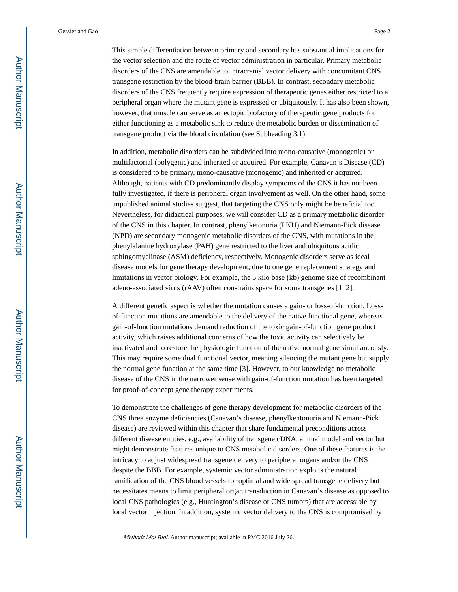This simple differentiation between primary and secondary has substantial implications for the vector selection and the route of vector administration in particular. Primary metabolic disorders of the CNS are amendable to intracranial vector delivery with concomitant CNS transgene restriction by the blood-brain barrier (BBB). In contrast, secondary metabolic disorders of the CNS frequently require expression of therapeutic genes either restricted to a peripheral organ where the mutant gene is expressed or ubiquitously. It has also been shown, however, that muscle can serve as an ectopic biofactory of therapeutic gene products for either functioning as a metabolic sink to reduce the metabolic burden or dissemination of transgene product via the blood circulation (see Subheading 3.1).

In addition, metabolic disorders can be subdivided into mono-causative (monogenic) or multifactorial (polygenic) and inherited or acquired. For example, Canavan's Disease (CD) is considered to be primary, mono-causative (monogenic) and inherited or acquired. Although, patients with CD predominantly display symptoms of the CNS it has not been fully investigated, if there is peripheral organ involvement as well. On the other hand, some unpublished animal studies suggest, that targeting the CNS only might be beneficial too. Nevertheless, for didactical purposes, we will consider CD as a primary metabolic disorder of the CNS in this chapter. In contrast, phenylketonuria (PKU) and Niemann-Pick disease (NPD) are secondary monogenic metabolic disorders of the CNS, with mutations in the phenylalanine hydroxylase (PAH) gene restricted to the liver and ubiquitous acidic sphingomyelinase (ASM) deficiency, respectively. Monogenic disorders serve as ideal disease models for gene therapy development, due to one gene replacement strategy and limitations in vector biology. For example, the 5 kilo base (kb) genome size of recombinant adeno-associated virus (rAAV) often constrains space for some transgenes [1, 2].

A different genetic aspect is whether the mutation causes a gain- or loss-of-function. Lossof-function mutations are amendable to the delivery of the native functional gene, whereas gain-of-function mutations demand reduction of the toxic gain-of-function gene product activity, which raises additional concerns of how the toxic activity can selectively be inactivated and to restore the physiologic function of the native normal gene simultaneously. This may require some dual functional vector, meaning silencing the mutant gene but supply the normal gene function at the same time [3]. However, to our knowledge no metabolic disease of the CNS in the narrower sense with gain-of-function mutation has been targeted for proof-of-concept gene therapy experiments.

To demonstrate the challenges of gene therapy development for metabolic disorders of the CNS three enzyme deficiencies (Canavan's disease, phenylkentonuria and Niemann-Pick disease) are reviewed within this chapter that share fundamental preconditions across different disease entities, e.g., availability of transgene cDNA, animal model and vector but might demonstrate features unique to CNS metabolic disorders. One of these features is the intricacy to adjust widespread transgene delivery to peripheral organs and/or the CNS despite the BBB. For example, systemic vector administration exploits the natural ramification of the CNS blood vessels for optimal and wide spread transgene delivery but necessitates means to limit peripheral organ transduction in Canavan's disease as opposed to local CNS pathologies (e.g., Huntington's disease or CNS tumors) that are accessible by local vector injection. In addition, systemic vector delivery to the CNS is compromised by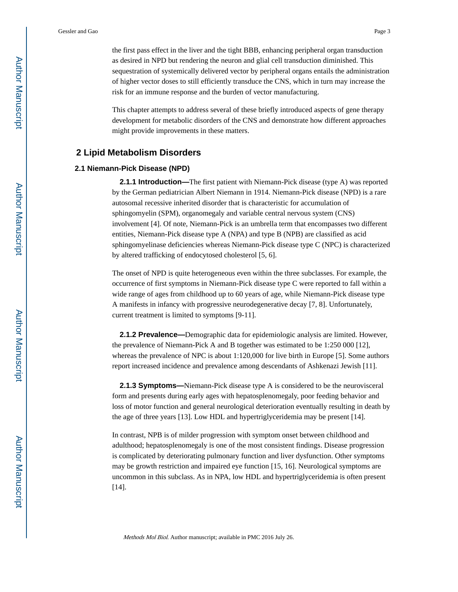the first pass effect in the liver and the tight BBB, enhancing peripheral organ transduction as desired in NPD but rendering the neuron and glial cell transduction diminished. This sequestration of systemically delivered vector by peripheral organs entails the administration of higher vector doses to still efficiently transduce the CNS, which in turn may increase the risk for an immune response and the burden of vector manufacturing.

This chapter attempts to address several of these briefly introduced aspects of gene therapy development for metabolic disorders of the CNS and demonstrate how different approaches might provide improvements in these matters.

## **2 Lipid Metabolism Disorders**

#### **2.1 Niemann-Pick Disease (NPD)**

**2.1.1 Introduction—**The first patient with Niemann-Pick disease (type A) was reported by the German pediatrician Albert Niemann in 1914. Niemann-Pick disease (NPD) is a rare autosomal recessive inherited disorder that is characteristic for accumulation of sphingomyelin (SPM), organomegaly and variable central nervous system (CNS) involvement [4]. Of note, Niemann-Pick is an umbrella term that encompasses two different entities, Niemann-Pick disease type A (NPA) and type B (NPB) are classified as acid sphingomyelinase deficiencies whereas Niemann-Pick disease type C (NPC) is characterized by altered trafficking of endocytosed cholesterol [5, 6].

The onset of NPD is quite heterogeneous even within the three subclasses. For example, the occurrence of first symptoms in Niemann-Pick disease type C were reported to fall within a wide range of ages from childhood up to 60 years of age, while Niemann-Pick disease type A manifests in infancy with progressive neurodegenerative decay [7, 8]. Unfortunately, current treatment is limited to symptoms [9-11].

**2.1.2 Prevalence—**Demographic data for epidemiologic analysis are limited. However, the prevalence of Niemann-Pick A and B together was estimated to be 1:250 000 [12], whereas the prevalence of NPC is about 1:120,000 for live birth in Europe [5]. Some authors report increased incidence and prevalence among descendants of Ashkenazi Jewish [11].

 **2.1.3 Symptoms—**Niemann-Pick disease type A is considered to be the neurovisceral form and presents during early ages with hepatosplenomegaly, poor feeding behavior and loss of motor function and general neurological deterioration eventually resulting in death by the age of three years [13]. Low HDL and hypertriglyceridemia may be present [14].

In contrast, NPB is of milder progression with symptom onset between childhood and adulthood; hepatosplenomegaly is one of the most consistent findings. Disease progression is complicated by deteriorating pulmonary function and liver dysfunction. Other symptoms may be growth restriction and impaired eye function [15, 16]. Neurological symptoms are uncommon in this subclass. As in NPA, low HDL and hypertriglyceridemia is often present [14].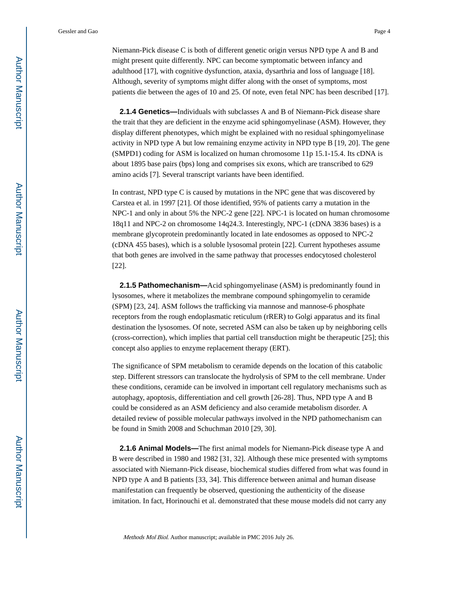Niemann-Pick disease C is both of different genetic origin versus NPD type A and B and might present quite differently. NPC can become symptomatic between infancy and adulthood [17], with cognitive dysfunction, ataxia, dysarthria and loss of language [18]. Although, severity of symptoms might differ along with the onset of symptoms, most patients die between the ages of 10 and 25. Of note, even fetal NPC has been described [17].

**2.1.4 Genetics—**Individuals with subclasses A and B of Niemann-Pick disease share the trait that they are deficient in the enzyme acid sphingomyelinase (ASM). However, they display different phenotypes, which might be explained with no residual sphingomyelinase activity in NPD type A but low remaining enzyme activity in NPD type B [19, 20]. The gene (SMPD1) coding for ASM is localized on human chromosome 11p 15.1-15.4. Its cDNA is about 1895 base pairs (bps) long and comprises six exons, which are transcribed to 629 amino acids [7]. Several transcript variants have been identified.

In contrast, NPD type C is caused by mutations in the NPC gene that was discovered by Carstea et al. in 1997 [21]. Of those identified, 95% of patients carry a mutation in the NPC-1 and only in about 5% the NPC-2 gene [22]. NPC-1 is located on human chromosome 18q11 and NPC-2 on chromosome 14q24.3. Interestingly, NPC-1 (cDNA 3836 bases) is a membrane glycoprotein predominantly located in late endosomes as opposed to NPC-2 (cDNA 455 bases), which is a soluble lysosomal protein [22]. Current hypotheses assume that both genes are involved in the same pathway that processes endocytosed cholesterol [22].

 **2.1.5 Pathomechanism—**Acid sphingomyelinase (ASM) is predominantly found in lysosomes, where it metabolizes the membrane compound sphingomyelin to ceramide (SPM) [23, 24]. ASM follows the trafficking via mannose and mannose-6 phosphate receptors from the rough endoplasmatic reticulum (rRER) to Golgi apparatus and its final destination the lysosomes. Of note, secreted ASM can also be taken up by neighboring cells (cross-correction), which implies that partial cell transduction might be therapeutic [25]; this concept also applies to enzyme replacement therapy (ERT).

The significance of SPM metabolism to ceramide depends on the location of this catabolic step. Different stressors can translocate the hydrolysis of SPM to the cell membrane. Under these conditions, ceramide can be involved in important cell regulatory mechanisms such as autophagy, apoptosis, differentiation and cell growth [26-28]. Thus, NPD type A and B could be considered as an ASM deficiency and also ceramide metabolism disorder. A detailed review of possible molecular pathways involved in the NPD pathomechanism can be found in Smith 2008 and Schuchman 2010 [29, 30].

 **2.1.6 Animal Models—**The first animal models for Niemann-Pick disease type A and B were described in 1980 and 1982 [31, 32]. Although these mice presented with symptoms associated with Niemann-Pick disease, biochemical studies differed from what was found in NPD type A and B patients [33, 34]. This difference between animal and human disease manifestation can frequently be observed, questioning the authenticity of the disease imitation. In fact, Horinouchi et al. demonstrated that these mouse models did not carry any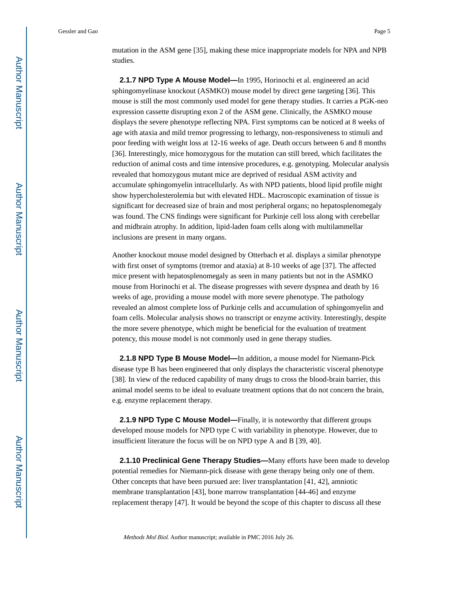mutation in the ASM gene [35], making these mice inappropriate models for NPA and NPB studies.

 **2.1.7 NPD Type A Mouse Model—**In 1995, Horinochi et al. engineered an acid sphingomyelinase knockout (ASMKO) mouse model by direct gene targeting [36]. This mouse is still the most commonly used model for gene therapy studies. It carries a PGK-neo expression cassette disrupting exon 2 of the ASM gene. Clinically, the ASMKO mouse displays the severe phenotype reflecting NPA. First symptoms can be noticed at 8 weeks of age with ataxia and mild tremor progressing to lethargy, non-responsiveness to stimuli and poor feeding with weight loss at 12-16 weeks of age. Death occurs between 6 and 8 months [36]. Interestingly, mice homozygous for the mutation can still breed, which facilitates the reduction of animal costs and time intensive procedures, e.g. genotyping. Molecular analysis revealed that homozygous mutant mice are deprived of residual ASM activity and accumulate sphingomyelin intracellularly. As with NPD patients, blood lipid profile might show hypercholesterolemia but with elevated HDL. Macroscopic examination of tissue is significant for decreased size of brain and most peripheral organs; no hepatosplenomegaly was found. The CNS findings were significant for Purkinje cell loss along with cerebellar and midbrain atrophy. In addition, lipid-laden foam cells along with multilammellar inclusions are present in many organs.

Another knockout mouse model designed by Otterbach et al. displays a similar phenotype with first onset of symptoms (tremor and ataxia) at 8-10 weeks of age [37]. The affected mice present with hepatosplenomegaly as seen in many patients but not in the ASMKO mouse from Horinochi et al. The disease progresses with severe dyspnea and death by 16 weeks of age, providing a mouse model with more severe phenotype. The pathology revealed an almost complete loss of Purkinje cells and accumulation of sphingomyelin and foam cells. Molecular analysis shows no transcript or enzyme activity. Interestingly, despite the more severe phenotype, which might be beneficial for the evaluation of treatment potency, this mouse model is not commonly used in gene therapy studies.

 **2.1.8 NPD Type B Mouse Model—**In addition, a mouse model for Niemann-Pick disease type B has been engineered that only displays the characteristic visceral phenotype [38]. In view of the reduced capability of many drugs to cross the blood-brain barrier, this animal model seems to be ideal to evaluate treatment options that do not concern the brain, e.g. enzyme replacement therapy.

 **2.1.9 NPD Type C Mouse Model—**Finally, it is noteworthy that different groups developed mouse models for NPD type C with variability in phenotype. However, due to insufficient literature the focus will be on NPD type A and B [39, 40].

 **2.1.10 Preclinical Gene Therapy Studies—**Many efforts have been made to develop potential remedies for Niemann-pick disease with gene therapy being only one of them. Other concepts that have been pursued are: liver transplantation [41, 42], amniotic membrane transplantation [43], bone marrow transplantation [44-46] and enzyme replacement therapy [47]. It would be beyond the scope of this chapter to discuss all these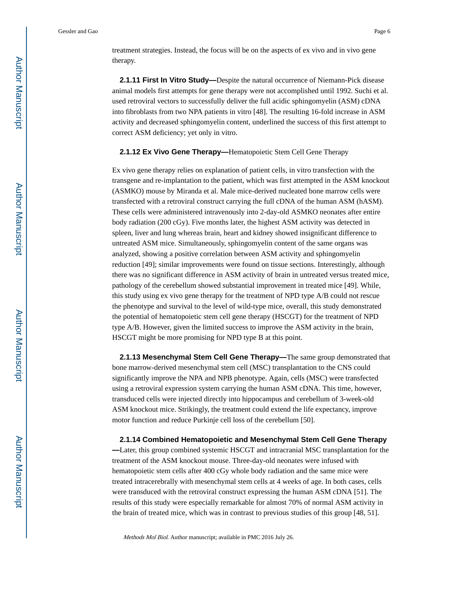treatment strategies. Instead, the focus will be on the aspects of ex vivo and in vivo gene therapy.

 **2.1.11 First In Vitro Study—**Despite the natural occurrence of Niemann-Pick disease animal models first attempts for gene therapy were not accomplished until 1992. Suchi et al. used retroviral vectors to successfully deliver the full acidic sphingomyelin (ASM) cDNA into fibroblasts from two NPA patients in vitro [48]. The resulting 16-fold increase in ASM activity and decreased sphingomyelin content, underlined the success of this first attempt to correct ASM deficiency; yet only in vitro.

#### **2.1.12 Ex Vivo Gene Therapy—**Hematopoietic Stem Cell Gene Therapy

Ex vivo gene therapy relies on explanation of patient cells, in vitro transfection with the transgene and re-implantation to the patient, which was first attempted in the ASM knockout (ASMKO) mouse by Miranda et al. Male mice-derived nucleated bone marrow cells were transfected with a retroviral construct carrying the full cDNA of the human ASM (hASM). These cells were administered intravenously into 2-day-old ASMKO neonates after entire body radiation (200 cGy). Five months later, the highest ASM activity was detected in spleen, liver and lung whereas brain, heart and kidney showed insignificant difference to untreated ASM mice. Simultaneously, sphingomyelin content of the same organs was analyzed, showing a positive correlation between ASM activity and sphingomyelin reduction [49]; similar improvements were found on tissue sections. Interestingly, although there was no significant difference in ASM activity of brain in untreated versus treated mice, pathology of the cerebellum showed substantial improvement in treated mice [49]. While, this study using ex vivo gene therapy for the treatment of NPD type A/B could not rescue the phenotype and survival to the level of wild-type mice, overall, this study demonstrated the potential of hematopoietic stem cell gene therapy (HSCGT) for the treatment of NPD type A/B. However, given the limited success to improve the ASM activity in the brain, HSCGT might be more promising for NPD type B at this point.

 **2.1.13 Mesenchymal Stem Cell Gene Therapy—**The same group demonstrated that bone marrow-derived mesenchymal stem cell (MSC) transplantation to the CNS could significantly improve the NPA and NPB phenotype. Again, cells (MSC) were transfected using a retroviral expression system carrying the human ASM cDNA. This time, however, transduced cells were injected directly into hippocampus and cerebellum of 3-week-old ASM knockout mice. Strikingly, the treatment could extend the life expectancy, improve motor function and reduce Purkinje cell loss of the cerebellum [50].

#### **2.1.14 Combined Hematopoietic and Mesenchymal Stem Cell Gene Therapy**

**—**Later, this group combined systemic HSCGT and intracranial MSC transplantation for the treatment of the ASM knockout mouse. Three-day-old neonates were infused with hematopoietic stem cells after 400 cGy whole body radiation and the same mice were treated intracerebrally with mesenchymal stem cells at 4 weeks of age. In both cases, cells were transduced with the retroviral construct expressing the human ASM cDNA [51]. The results of this study were especially remarkable for almost 70% of normal ASM activity in the brain of treated mice, which was in contrast to previous studies of this group [48, 51].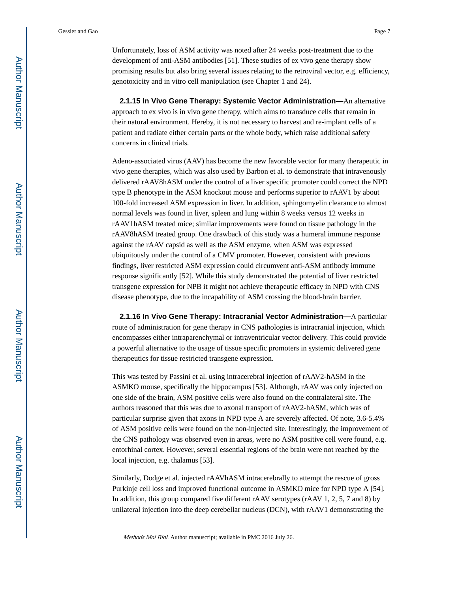Unfortunately, loss of ASM activity was noted after 24 weeks post-treatment due to the development of anti-ASM antibodies [51]. These studies of ex vivo gene therapy show promising results but also bring several issues relating to the retroviral vector, e.g. efficiency, genotoxicity and in vitro cell manipulation (see Chapter 1 and 24).

 **2.1.15 In Vivo Gene Therapy: Systemic Vector Administration—**An alternative approach to ex vivo is in vivo gene therapy, which aims to transduce cells that remain in their natural environment. Hereby, it is not necessary to harvest and re-implant cells of a patient and radiate either certain parts or the whole body, which raise additional safety concerns in clinical trials.

Adeno-associated virus (AAV) has become the new favorable vector for many therapeutic in vivo gene therapies, which was also used by Barbon et al. to demonstrate that intravenously delivered rAAV8hASM under the control of a liver specific promoter could correct the NPD type B phenotype in the ASM knockout mouse and performs superior to rAAV1 by about 100-fold increased ASM expression in liver. In addition, sphingomyelin clearance to almost normal levels was found in liver, spleen and lung within 8 weeks versus 12 weeks in rAAV1hASM treated mice; similar improvements were found on tissue pathology in the rAAV8hASM treated group. One drawback of this study was a humeral immune response against the rAAV capsid as well as the ASM enzyme, when ASM was expressed ubiquitously under the control of a CMV promoter. However, consistent with previous findings, liver restricted ASM expression could circumvent anti-ASM antibody immune response significantly [52]. While this study demonstrated the potential of liver restricted transgene expression for NPB it might not achieve therapeutic efficacy in NPD with CNS disease phenotype, due to the incapability of ASM crossing the blood-brain barrier.

 **2.1.16 In Vivo Gene Therapy: Intracranial Vector Administration—**A particular route of administration for gene therapy in CNS pathologies is intracranial injection, which encompasses either intraparenchymal or intraventricular vector delivery. This could provide a powerful alternative to the usage of tissue specific promoters in systemic delivered gene therapeutics for tissue restricted transgene expression.

This was tested by Passini et al. using intracerebral injection of rAAV2-hASM in the ASMKO mouse, specifically the hippocampus [53]. Although, rAAV was only injected on one side of the brain, ASM positive cells were also found on the contralateral site. The authors reasoned that this was due to axonal transport of rAAV2-hASM, which was of particular surprise given that axons in NPD type A are severely affected. Of note, 3.6-5.4% of ASM positive cells were found on the non-injected site. Interestingly, the improvement of the CNS pathology was observed even in areas, were no ASM positive cell were found, e.g. entorhinal cortex. However, several essential regions of the brain were not reached by the local injection, e.g. thalamus [53].

Similarly, Dodge et al. injected rAAVhASM intracerebrally to attempt the rescue of gross Purkinje cell loss and improved functional outcome in ASMKO mice for NPD type A [54]. In addition, this group compared five different rAAV serotypes (rAAV 1, 2, 5, 7 and 8) by unilateral injection into the deep cerebellar nucleus (DCN), with rAAV1 demonstrating the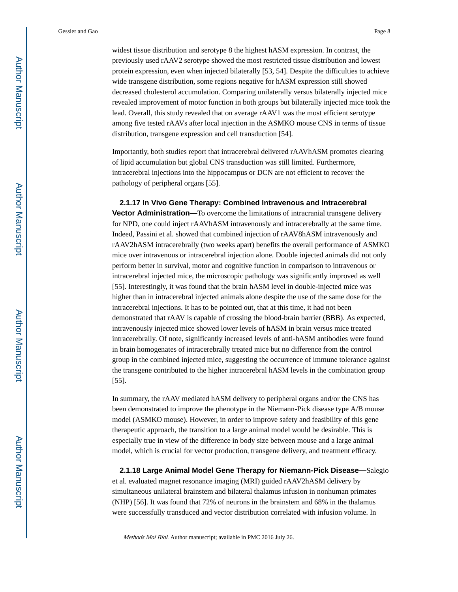widest tissue distribution and serotype 8 the highest hASM expression. In contrast, the previously used rAAV2 serotype showed the most restricted tissue distribution and lowest protein expression, even when injected bilaterally [53, 54]. Despite the difficulties to achieve wide transgene distribution, some regions negative for hASM expression still showed decreased cholesterol accumulation. Comparing unilaterally versus bilaterally injected mice revealed improvement of motor function in both groups but bilaterally injected mice took the lead. Overall, this study revealed that on average rAAV1 was the most efficient serotype among five tested rAAVs after local injection in the ASMKO mouse CNS in terms of tissue distribution, transgene expression and cell transduction [54].

Importantly, both studies report that intracerebral delivered rAAVhASM promotes clearing of lipid accumulation but global CNS transduction was still limited. Furthermore, intracerebral injections into the hippocampus or DCN are not efficient to recover the pathology of peripheral organs [55].

 **2.1.17 In Vivo Gene Therapy: Combined Intravenous and Intracerebral Vector Administration—**To overcome the limitations of intracranial transgene delivery for NPD, one could inject rAAVhASM intravenously and intracerebrally at the same time. Indeed, Passini et al. showed that combined injection of rAAV8hASM intravenously and rAAV2hASM intracerebrally (two weeks apart) benefits the overall performance of ASMKO mice over intravenous or intracerebral injection alone. Double injected animals did not only perform better in survival, motor and cognitive function in comparison to intravenous or intracerebral injected mice, the microscopic pathology was significantly improved as well [55]. Interestingly, it was found that the brain hASM level in double-injected mice was higher than in intracerebral injected animals alone despite the use of the same dose for the intracerebral injections. It has to be pointed out, that at this time, it had not been demonstrated that rAAV is capable of crossing the blood-brain barrier (BBB). As expected, intravenously injected mice showed lower levels of hASM in brain versus mice treated intracerebrally. Of note, significantly increased levels of anti-hASM antibodies were found in brain homogenates of intracerebrally treated mice but no difference from the control group in the combined injected mice, suggesting the occurrence of immune tolerance against the transgene contributed to the higher intracerebral hASM levels in the combination group [55].

In summary, the rAAV mediated hASM delivery to peripheral organs and/or the CNS has been demonstrated to improve the phenotype in the Niemann-Pick disease type A/B mouse model (ASMKO mouse). However, in order to improve safety and feasibility of this gene therapeutic approach, the transition to a large animal model would be desirable. This is especially true in view of the difference in body size between mouse and a large animal model, which is crucial for vector production, transgene delivery, and treatment efficacy.

 **2.1.18 Large Animal Model Gene Therapy for Niemann-Pick Disease—**Salegio

et al. evaluated magnet resonance imaging (MRI) guided rAAV2hASM delivery by simultaneous unilateral brainstem and bilateral thalamus infusion in nonhuman primates (NHP) [56]. It was found that 72% of neurons in the brainstem and 68% in the thalamus were successfully transduced and vector distribution correlated with infusion volume. In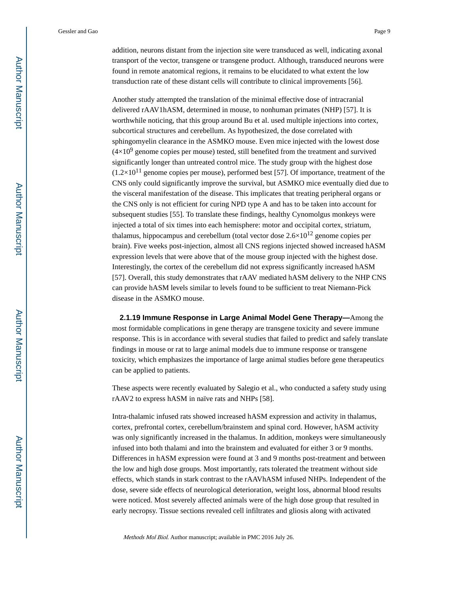addition, neurons distant from the injection site were transduced as well, indicating axonal transport of the vector, transgene or transgene product. Although, transduced neurons were found in remote anatomical regions, it remains to be elucidated to what extent the low transduction rate of these distant cells will contribute to clinical improvements [56].

Another study attempted the translation of the minimal effective dose of intracranial delivered rAAV1hASM, determined in mouse, to nonhuman primates (NHP) [57]. It is worthwhile noticing, that this group around Bu et al. used multiple injections into cortex, subcortical structures and cerebellum. As hypothesized, the dose correlated with sphingomyelin clearance in the ASMKO mouse. Even mice injected with the lowest dose  $(4\times10^9)$  genome copies per mouse) tested, still benefited from the treatment and survived significantly longer than untreated control mice. The study group with the highest dose  $(1.2\times10^{11}$  genome copies per mouse), performed best [57]. Of importance, treatment of the CNS only could significantly improve the survival, but ASMKO mice eventually died due to the visceral manifestation of the disease. This implicates that treating peripheral organs or the CNS only is not efficient for curing NPD type A and has to be taken into account for subsequent studies [55]. To translate these findings, healthy Cynomolgus monkeys were injected a total of six times into each hemisphere: motor and occipital cortex, striatum, thalamus, hippocampus and cerebellum (total vector dose  $2.6 \times 10^{12}$  genome copies per brain). Five weeks post-injection, almost all CNS regions injected showed increased hASM expression levels that were above that of the mouse group injected with the highest dose. Interestingly, the cortex of the cerebellum did not express significantly increased hASM [57]. Overall, this study demonstrates that rAAV mediated hASM delivery to the NHP CNS can provide hASM levels similar to levels found to be sufficient to treat Niemann-Pick disease in the ASMKO mouse.

 **2.1.19 Immune Response in Large Animal Model Gene Therapy—**Among the most formidable complications in gene therapy are transgene toxicity and severe immune response. This is in accordance with several studies that failed to predict and safely translate findings in mouse or rat to large animal models due to immune response or transgene toxicity, which emphasizes the importance of large animal studies before gene therapeutics can be applied to patients.

These aspects were recently evaluated by Salegio et al., who conducted a safety study using rAAV2 to express hASM in naïve rats and NHPs [58].

Intra-thalamic infused rats showed increased hASM expression and activity in thalamus, cortex, prefrontal cortex, cerebellum/brainstem and spinal cord. However, hASM activity was only significantly increased in the thalamus. In addition, monkeys were simultaneously infused into both thalami and into the brainstem and evaluated for either 3 or 9 months. Differences in hASM expression were found at 3 and 9 months post-treatment and between the low and high dose groups. Most importantly, rats tolerated the treatment without side effects, which stands in stark contrast to the rAAVhASM infused NHPs. Independent of the dose, severe side effects of neurological deterioration, weight loss, abnormal blood results were noticed. Most severely affected animals were of the high dose group that resulted in early necropsy. Tissue sections revealed cell infiltrates and gliosis along with activated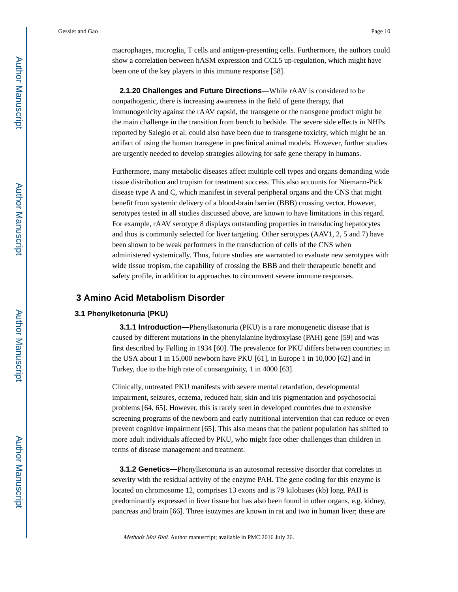macrophages, microglia, T cells and antigen-presenting cells. Furthermore, the authors could show a correlation between hASM expression and CCL5 up-regulation, which might have been one of the key players in this immune response [58].

 **2.1.20 Challenges and Future Directions—**While rAAV is considered to be nonpathogenic, there is increasing awareness in the field of gene therapy, that immunogenicity against the rAAV capsid, the transgene or the transgene product might be the main challenge in the transition from bench to bedside. The severe side effects in NHPs reported by Salegio et al. could also have been due to transgene toxicity, which might be an artifact of using the human transgene in preclinical animal models. However, further studies are urgently needed to develop strategies allowing for safe gene therapy in humans.

Furthermore, many metabolic diseases affect multiple cell types and organs demanding wide tissue distribution and tropism for treatment success. This also accounts for Niemann-Pick disease type A and C, which manifest in several peripheral organs and the CNS that might benefit from systemic delivery of a blood-brain barrier (BBB) crossing vector. However, serotypes tested in all studies discussed above, are known to have limitations in this regard. For example, rAAV serotype 8 displays outstanding properties in transducing hepatocytes and thus is commonly selected for liver targeting. Other serotypes (AAV1, 2, 5 and 7) have been shown to be weak performers in the transduction of cells of the CNS when administered systemically. Thus, future studies are warranted to evaluate new serotypes with wide tissue tropism, the capability of crossing the BBB and their therapeutic benefit and safety profile, in addition to approaches to circumvent severe immune responses.

### **3 Amino Acid Metabolism Disorder**

#### **3.1 Phenylketonuria (PKU)**

**3.1.1 Introduction—**Phenylketonuria (PKU) is a rare monogenetic disease that is caused by different mutations in the phenylalanine hydroxylase (PAH) gene [59] and was first described by Følling in 1934 [60]. The prevalence for PKU differs between countries; in the USA about 1 in 15,000 newborn have PKU [61], in Europe 1 in 10,000 [62] and in Turkey, due to the high rate of consanguinity, 1 in 4000 [63].

Clinically, untreated PKU manifests with severe mental retardation, developmental impairment, seizures, eczema, reduced hair, skin and iris pigmentation and psychosocial problems [64, 65]. However, this is rarely seen in developed countries due to extensive screening programs of the newborn and early nutritional intervention that can reduce or even prevent cognitive impairment [65]. This also means that the patient population has shifted to more adult individuals affected by PKU, who might face other challenges than children in terms of disease management and treatment.

**3.1.2 Genetics—**Phenylketonuria is an autosomal recessive disorder that correlates in severity with the residual activity of the enzyme PAH. The gene coding for this enzyme is located on chromosome 12, comprises 13 exons and is 79 kilobases (kb) long. PAH is predominantly expressed in liver tissue but has also been found in other organs, e.g. kidney, pancreas and brain [66]. Three isozymes are known in rat and two in human liver; these are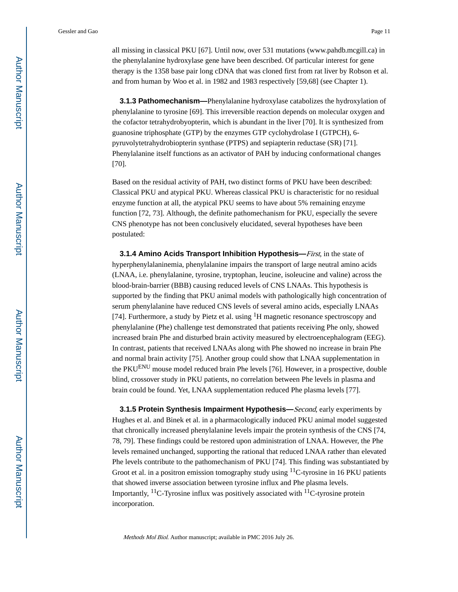all missing in classical PKU [67]. Until now, over 531 mutations (www.pahdb.mcgill.ca) in the phenylalanine hydroxylase gene have been described. Of particular interest for gene therapy is the 1358 base pair long cDNA that was cloned first from rat liver by Robson et al. and from human by Woo et al. in 1982 and 1983 respectively [59,68] (see Chapter 1).

 **3.1.3 Pathomechanism—**Phenylalanine hydroxylase catabolizes the hydroxylation of phenylalanine to tyrosine [69]. This irreversible reaction depends on molecular oxygen and the cofactor tetrahydrobyopterin, which is abundant in the liver [70]. It is synthesized from guanosine triphosphate (GTP) by the enzymes GTP cyclohydrolase I (GTPCH), 6 pyruvolytetrahydrobiopterin synthase (PTPS) and sepiapterin reductase (SR) [71]. Phenylalanine itself functions as an activator of PAH by inducing conformational changes [70].

Based on the residual activity of PAH, two distinct forms of PKU have been described: Classical PKU and atypical PKU. Whereas classical PKU is characteristic for no residual enzyme function at all, the atypical PKU seems to have about 5% remaining enzyme function [72, 73]. Although, the definite pathomechanism for PKU, especially the severe CNS phenotype has not been conclusively elucidated, several hypotheses have been postulated:

**3.1.4 Amino Acids Transport Inhibition Hypothesis—First, in the state of** hyperphenylalaninemia, phenylalanine impairs the transport of large neutral amino acids (LNAA, i.e. phenylalanine, tyrosine, tryptophan, leucine, isoleucine and valine) across the blood-brain-barrier (BBB) causing reduced levels of CNS LNAAs. This hypothesis is supported by the finding that PKU animal models with pathologically high concentration of serum phenylalanine have reduced CNS levels of several amino acids, especially LNAAs [74]. Furthermore, a study by Pietz et al. using  ${}^{1}H$  magnetic resonance spectroscopy and phenylalanine (Phe) challenge test demonstrated that patients receiving Phe only, showed increased brain Phe and disturbed brain activity measured by electroencephalogram (EEG). In contrast, patients that received LNAAs along with Phe showed no increase in brain Phe and normal brain activity [75]. Another group could show that LNAA supplementation in the PKUENU mouse model reduced brain Phe levels [76]. However, in a prospective, double blind, crossover study in PKU patients, no correlation between Phe levels in plasma and brain could be found. Yet, LNAA supplementation reduced Phe plasma levels [77].

 **3.1.5 Protein Synthesis Impairment Hypothesis—**Second, early experiments by Hughes et al. and Binek et al. in a pharmacologically induced PKU animal model suggested that chronically increased phenylalanine levels impair the protein synthesis of the CNS [74, 78, 79]. These findings could be restored upon administration of LNAA. However, the Phe levels remained unchanged, supporting the rational that reduced LNAA rather than elevated Phe levels contribute to the pathomechanism of PKU [74]. This finding was substantiated by Groot et al. in a positron emission tomography study using  $^{11}$ C-tyrosine in 16 PKU patients that showed inverse association between tyrosine influx and Phe plasma levels. Importantly,  $^{11}$ C-Tyrosine influx was positively associated with  $^{11}$ C-tyrosine protein incorporation.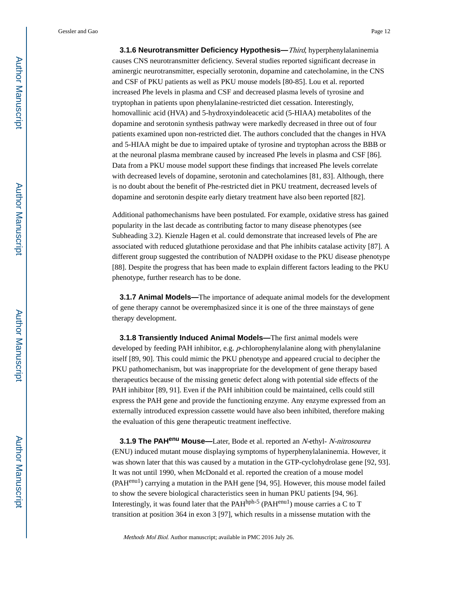**3.1.6 Neurotransmitter Deficiency Hypothesis—**Third, hyperphenylalaninemia causes CNS neurotransmitter deficiency. Several studies reported significant decrease in aminergic neurotransmitter, especially serotonin, dopamine and catecholamine, in the CNS and CSF of PKU patients as well as PKU mouse models [80-85]. Lou et al. reported increased Phe levels in plasma and CSF and decreased plasma levels of tyrosine and tryptophan in patients upon phenylalanine-restricted diet cessation. Interestingly, homovallinic acid (HVA) and 5-hydroxyindoleacetic acid (5-HIAA) metabolites of the dopamine and serotonin synthesis pathway were markedly decreased in three out of four patients examined upon non-restricted diet. The authors concluded that the changes in HVA and 5-HIAA might be due to impaired uptake of tyrosine and tryptophan across the BBB or at the neuronal plasma membrane caused by increased Phe levels in plasma and CSF [86]. Data from a PKU mouse model support these findings that increased Phe levels correlate with decreased levels of dopamine, serotonin and catecholamines [81, 83]. Although, there is no doubt about the benefit of Phe-restricted diet in PKU treatment, decreased levels of dopamine and serotonin despite early dietary treatment have also been reported [82].

Additional pathomechanisms have been postulated. For example, oxidative stress has gained popularity in the last decade as contributing factor to many disease phenotypes (see Subheading 3.2). Kienzle Hagen et al. could demonstrate that increased levels of Phe are associated with reduced glutathione peroxidase and that Phe inhibits catalase activity [87]. A different group suggested the contribution of NADPH oxidase to the PKU disease phenotype [88]. Despite the progress that has been made to explain different factors leading to the PKU phenotype, further research has to be done.

 **3.1.7 Animal Models—**The importance of adequate animal models for the development of gene therapy cannot be overemphasized since it is one of the three mainstays of gene therapy development.

 **3.1.8 Transiently Induced Animal Models—**The first animal models were developed by feeding PAH inhibitor, e.g. p-chlorophenylalanine along with phenylalanine itself [89, 90]. This could mimic the PKU phenotype and appeared crucial to decipher the PKU pathomechanism, but was inappropriate for the development of gene therapy based therapeutics because of the missing genetic defect along with potential side effects of the PAH inhibitor [89, 91]. Even if the PAH inhibition could be maintained, cells could still express the PAH gene and provide the functioning enzyme. Any enzyme expressed from an externally introduced expression cassette would have also been inhibited, therefore making the evaluation of this gene therapeutic treatment ineffective.

 **3.1.9 The PAHenu Mouse—**Later, Bode et al. reported an N-ethyl- N-nitrosourea (ENU) induced mutant mouse displaying symptoms of hyperphenylalaninemia. However, it was shown later that this was caused by a mutation in the GTP-cyclohydrolase gene [92, 93]. It was not until 1990, when McDonald et al. reported the creation of a mouse model (PAH<sup>enu1</sup>) carrying a mutation in the PAH gene [94, 95]. However, this mouse model failed to show the severe biological characteristics seen in human PKU patients [94, 96]. Interestingly, it was found later that the PAH<sup>hph-5</sup> (PAH<sup>enu1</sup>) mouse carries a C to T transition at position 364 in exon 3 [97], which results in a missense mutation with the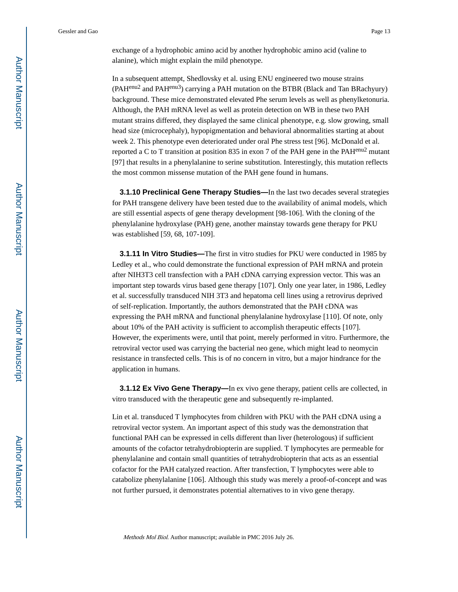exchange of a hydrophobic amino acid by another hydrophobic amino acid (valine to alanine), which might explain the mild phenotype.

In a subsequent attempt, Shedlovsky et al. using ENU engineered two mouse strains (PAHenu2 and PAHenu3) carrying a PAH mutation on the BTBR (Black and Tan BRachyury) background. These mice demonstrated elevated Phe serum levels as well as phenylketonuria. Although, the PAH mRNA level as well as protein detection on WB in these two PAH mutant strains differed, they displayed the same clinical phenotype, e.g. slow growing, small head size (microcephaly), hypopigmentation and behavioral abnormalities starting at about week 2. This phenotype even deteriorated under oral Phe stress test [96]. McDonald et al. reported a C to T transition at position 835 in exon 7 of the PAH gene in the PAHenu2 mutant [97] that results in a phenylalanine to serine substitution. Interestingly, this mutation reflects the most common missense mutation of the PAH gene found in humans.

 **3.1.10 Preclinical Gene Therapy Studies—**In the last two decades several strategies for PAH transgene delivery have been tested due to the availability of animal models, which are still essential aspects of gene therapy development [98-106]. With the cloning of the phenylalanine hydroxylase (PAH) gene, another mainstay towards gene therapy for PKU was established [59, 68, 107-109].

 **3.1.11 In Vitro Studies—**The first in vitro studies for PKU were conducted in 1985 by Ledley et al., who could demonstrate the functional expression of PAH mRNA and protein after NIH3T3 cell transfection with a PAH cDNA carrying expression vector. This was an important step towards virus based gene therapy [107]. Only one year later, in 1986, Ledley et al. successfully transduced NIH 3T3 and hepatoma cell lines using a retrovirus deprived of self-replication. Importantly, the authors demonstrated that the PAH cDNA was expressing the PAH mRNA and functional phenylalanine hydroxylase [110]. Of note, only about 10% of the PAH activity is sufficient to accomplish therapeutic effects [107]. However, the experiments were, until that point, merely performed in vitro. Furthermore, the retroviral vector used was carrying the bacterial neo gene, which might lead to neomycin resistance in transfected cells. This is of no concern in vitro, but a major hindrance for the application in humans.

**3.1.12 Ex Vivo Gene Therapy—**In ex vivo gene therapy, patient cells are collected, in vitro transduced with the therapeutic gene and subsequently re-implanted.

Lin et al. transduced T lymphocytes from children with PKU with the PAH cDNA using a retroviral vector system. An important aspect of this study was the demonstration that functional PAH can be expressed in cells different than liver (heterologous) if sufficient amounts of the cofactor tetrahydrobiopterin are supplied. T lymphocytes are permeable for phenylalanine and contain small quantities of tetrahydrobiopterin that acts as an essential cofactor for the PAH catalyzed reaction. After transfection, T lymphocytes were able to catabolize phenylalanine [106]. Although this study was merely a proof-of-concept and was not further pursued, it demonstrates potential alternatives to in vivo gene therapy.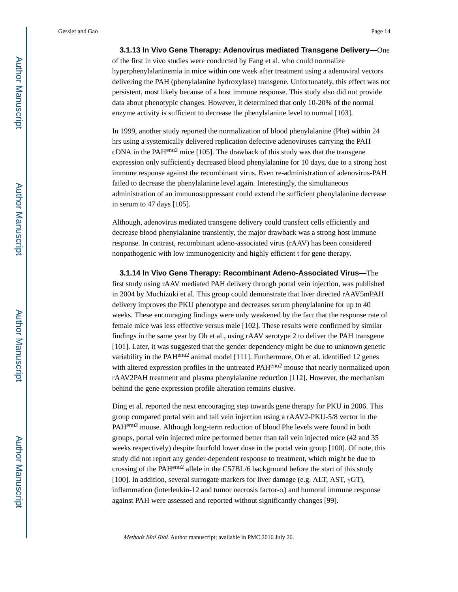**3.1.13 In Vivo Gene Therapy: Adenovirus mediated Transgene Delivery—**One of the first in vivo studies were conducted by Fang et al. who could normalize hyperphenylalaninemia in mice within one week after treatment using a adenoviral vectors delivering the PAH (phenylalanine hydroxylase) transgene. Unfortunately, this effect was not persistent, most likely because of a host immune response. This study also did not provide data about phenotypic changes. However, it determined that only 10-20% of the normal enzyme activity is sufficient to decrease the phenylalanine level to normal [103].

In 1999, another study reported the normalization of blood phenylalanine (Phe) within 24 hrs using a systemically delivered replication defective adenoviruses carrying the PAH cDNA in the PAHenu2 mice [105]. The drawback of this study was that the transgene expression only sufficiently decreased blood phenylalanine for 10 days, due to a strong host immune response against the recombinant virus. Even re-administration of adenovirus-PAH failed to decrease the phenylalanine level again. Interestingly, the simultaneous administration of an immunosuppressant could extend the sufficient phenylalanine decrease in serum to 47 days [105].

Although, adenovirus mediated transgene delivery could transfect cells efficiently and decrease blood phenylalanine transiently, the major drawback was a strong host immune response. In contrast, recombinant adeno-associated virus (rAAV) has been considered nonpathogenic with low immunogenicity and highly efficient t for gene therapy.

 **3.1.14 In Vivo Gene Therapy: Recombinant Adeno-Associated Virus—**The first study using rAAV mediated PAH delivery through portal vein injection, was published in 2004 by Mochizuki et al. This group could demonstrate that liver directed rAAV5mPAH delivery improves the PKU phenotype and decreases serum phenylalanine for up to 40 weeks. These encouraging findings were only weakened by the fact that the response rate of female mice was less effective versus male [102]. These results were confirmed by similar findings in the same year by Oh et al., using rAAV serotype 2 to deliver the PAH transgene [101]. Later, it was suggested that the gender dependency might be due to unknown genetic variability in the PAH<sup>enu2</sup> animal model [111]. Furthermore, Oh et al. identified 12 genes with altered expression profiles in the untreated PAH<sup>enu2</sup> mouse that nearly normalized upon rAAV2PAH treatment and plasma phenylalanine reduction [112]. However, the mechanism behind the gene expression profile alteration remains elusive.

Ding et al. reported the next encouraging step towards gene therapy for PKU in 2006. This group compared portal vein and tail vein injection using a rAAV2-PKU-5/8 vector in the PAH<sup>enu2</sup> mouse. Although long-term reduction of blood Phe levels were found in both groups, portal vein injected mice performed better than tail vein injected mice (42 and 35 weeks respectively) despite fourfold lower dose in the portal vein group [100]. Of note, this study did not report any gender-dependent response to treatment, which might be due to crossing of the PAHenu2 allele in the C57BL/6 background before the start of this study [100]. In addition, several surrogate markers for liver damage (e.g. ALT, AST, γGT), inflammation (interleukin-12 and tumor necrosis factor-α) and humoral immune response against PAH were assessed and reported without significantly changes [99].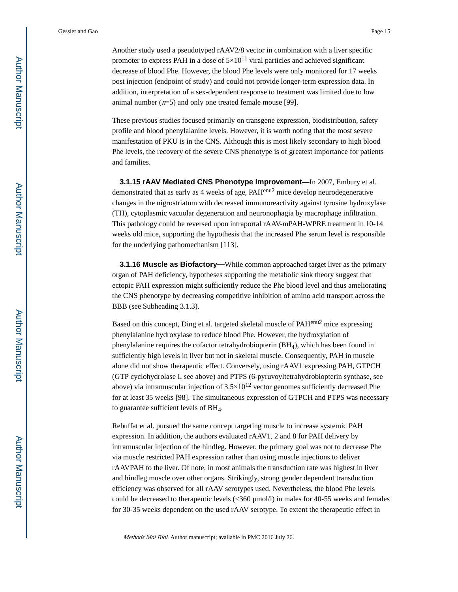Another study used a pseudotyped rAAV2/8 vector in combination with a liver specific promoter to express PAH in a dose of  $5\times10^{11}$  viral particles and achieved significant decrease of blood Phe. However, the blood Phe levels were only monitored for 17 weeks post injection (endpoint of study) and could not provide longer-term expression data. In addition, interpretation of a sex-dependent response to treatment was limited due to low animal number  $(n=5)$  and only one treated female mouse [99].

These previous studies focused primarily on transgene expression, biodistribution, safety profile and blood phenylalanine levels. However, it is worth noting that the most severe manifestation of PKU is in the CNS. Although this is most likely secondary to high blood Phe levels, the recovery of the severe CNS phenotype is of greatest importance for patients and families.

 **3.1.15 rAAV Mediated CNS Phenotype Improvement—**In 2007, Embury et al. demonstrated that as early as 4 weeks of age, PAHenu2 mice develop neurodegenerative changes in the nigrostriatum with decreased immunoreactivity against tyrosine hydroxylase (TH), cytoplasmic vacuolar degeneration and neuronophagia by macrophage infiltration. This pathology could be reversed upon intraportal rAAV-mPAH-WPRE treatment in 10-14 weeks old mice, supporting the hypothesis that the increased Phe serum level is responsible for the underlying pathomechanism [113].

**3.1.16 Muscle as Biofactory—**While common approached target liver as the primary organ of PAH deficiency, hypotheses supporting the metabolic sink theory suggest that ectopic PAH expression might sufficiently reduce the Phe blood level and thus ameliorating the CNS phenotype by decreasing competitive inhibition of amino acid transport across the BBB (see Subheading 3.1.3).

Based on this concept, Ding et al. targeted skeletal muscle of PAHenu2 mice expressing phenylalanine hydroxylase to reduce blood Phe. However, the hydroxylation of phenylalanine requires the cofactor tetrahydrobiopterin  $(BH_4)$ , which has been found in sufficiently high levels in liver but not in skeletal muscle. Consequently, PAH in muscle alone did not show therapeutic effect. Conversely, using rAAV1 expressing PAH, GTPCH (GTP cyclohydrolase I, see above) and PTPS (6-pyruvoyltetrahydrobiopterin synthase, see above) via intramuscular injection of  $3.5 \times 10^{12}$  vector genomes sufficiently decreased Phe for at least 35 weeks [98]. The simultaneous expression of GTPCH and PTPS was necessary to guarantee sufficient levels of BH4.

Rebuffat et al. pursued the same concept targeting muscle to increase systemic PAH expression. In addition, the authors evaluated rAAV1, 2 and 8 for PAH delivery by intramuscular injection of the hindleg. However, the primary goal was not to decrease Phe via muscle restricted PAH expression rather than using muscle injections to deliver rAAVPAH to the liver. Of note, in most animals the transduction rate was highest in liver and hindleg muscle over other organs. Strikingly, strong gender dependent transduction efficiency was observed for all rAAV serotypes used. Nevertheless, the blood Phe levels could be decreased to therapeutic levels (<360 µmol/l) in males for 40-55 weeks and females for 30-35 weeks dependent on the used rAAV serotype. To extent the therapeutic effect in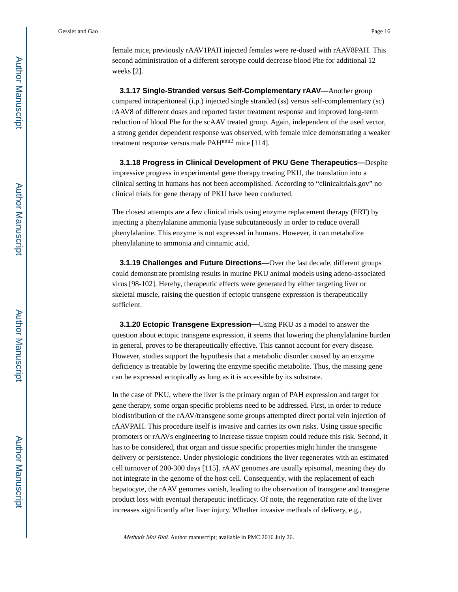female mice, previously rAAV1PAH injected females were re-dosed with rAAV8PAH. This second administration of a different serotype could decrease blood Phe for additional 12 weeks [2].

 **3.1.17 Single-Stranded versus Self-Complementary rAAV—**Another group compared intraperitoneal (i.p.) injected single stranded (ss) versus self-complementary (sc) rAAV8 of different doses and reported faster treatment response and improved long-term reduction of blood Phe for the scAAV treated group. Again, independent of the used vector, a strong gender dependent response was observed, with female mice demonstrating a weaker treatment response versus male PAHenu2 mice [114].

 **3.1.18 Progress in Clinical Development of PKU Gene Therapeutics—**Despite impressive progress in experimental gene therapy treating PKU, the translation into a clinical setting in humans has not been accomplished. According to "clinicaltrials.gov" no clinical trials for gene therapy of PKU have been conducted.

The closest attempts are a few clinical trials using enzyme replacement therapy (ERT) by injecting a phenylalanine ammonia lyase subcutaneously in order to reduce overall phenylalanine. This enzyme is not expressed in humans. However, it can metabolize phenylalanine to ammonia and cinnamic acid.

 **3.1.19 Challenges and Future Directions—**Over the last decade, different groups could demonstrate promising results in murine PKU animal models using adeno-associated virus [98-102]. Hereby, therapeutic effects were generated by either targeting liver or skeletal muscle, raising the question if ectopic transgene expression is therapeutically sufficient.

 **3.1.20 Ectopic Transgene Expression—**Using PKU as a model to answer the question about ectopic transgene expression, it seems that lowering the phenylalanine burden in general, proves to be therapeutically effective. This cannot account for every disease. However, studies support the hypothesis that a metabolic disorder caused by an enzyme deficiency is treatable by lowering the enzyme specific metabolite. Thus, the missing gene can be expressed ectopically as long as it is accessible by its substrate.

In the case of PKU, where the liver is the primary organ of PAH expression and target for gene therapy, some organ specific problems need to be addressed. First, in order to reduce biodistribution of the rAAV/transgene some groups attempted direct portal vein injection of rAAVPAH. This procedure itself is invasive and carries its own risks. Using tissue specific promoters or rAAVs engineering to increase tissue tropism could reduce this risk. Second, it has to be considered, that organ and tissue specific properties might hinder the transgene delivery or persistence. Under physiologic conditions the liver regenerates with an estimated cell turnover of 200-300 days [115]. rAAV genomes are usually episomal, meaning they do not integrate in the genome of the host cell. Consequently, with the replacement of each hepatocyte, the rAAV genomes vanish, leading to the observation of transgene and transgene product loss with eventual therapeutic inefficacy. Of note, the regeneration rate of the liver increases significantly after liver injury. Whether invasive methods of delivery, e.g.,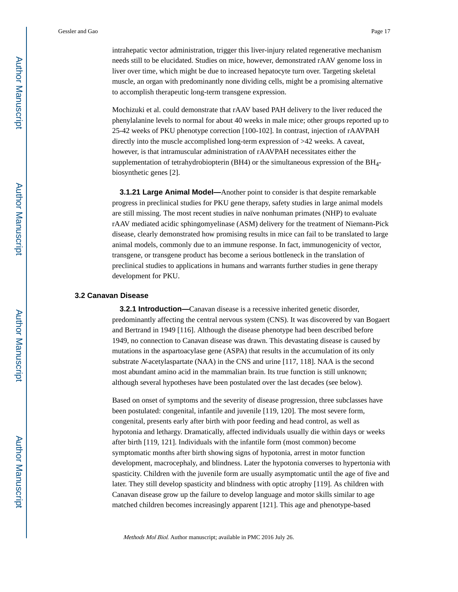intrahepatic vector administration, trigger this liver-injury related regenerative mechanism needs still to be elucidated. Studies on mice, however, demonstrated rAAV genome loss in liver over time, which might be due to increased hepatocyte turn over. Targeting skeletal muscle, an organ with predominantly none dividing cells, might be a promising alternative to accomplish therapeutic long-term transgene expression.

Mochizuki et al. could demonstrate that rAAV based PAH delivery to the liver reduced the phenylalanine levels to normal for about 40 weeks in male mice; other groups reported up to 25-42 weeks of PKU phenotype correction [100-102]. In contrast, injection of rAAVPAH directly into the muscle accomplished long-term expression of >42 weeks. A caveat, however, is that intramuscular administration of rAAVPAH necessitates either the supplementation of tetrahydrobiopterin (BH4) or the simultaneous expression of the BH4 biosynthetic genes [2].

 **3.1.21 Large Animal Model—**Another point to consider is that despite remarkable progress in preclinical studies for PKU gene therapy, safety studies in large animal models are still missing. The most recent studies in naïve nonhuman primates (NHP) to evaluate rAAV mediated acidic sphingomyelinase (ASM) delivery for the treatment of Niemann-Pick disease, clearly demonstrated how promising results in mice can fail to be translated to large animal models, commonly due to an immune response. In fact, immunogenicity of vector, transgene, or transgene product has become a serious bottleneck in the translation of preclinical studies to applications in humans and warrants further studies in gene therapy development for PKU.

#### **3.2 Canavan Disease**

 **3.2.1 Introduction—**Canavan disease is a recessive inherited genetic disorder, predominantly affecting the central nervous system (CNS). It was discovered by van Bogaert and Bertrand in 1949 [116]. Although the disease phenotype had been described before 1949, no connection to Canavan disease was drawn. This devastating disease is caused by mutations in the aspartoacylase gene (ASPA) that results in the accumulation of its only substrate N-acetylaspartate (NAA) in the CNS and urine [117, 118]. NAA is the second most abundant amino acid in the mammalian brain. Its true function is still unknown; although several hypotheses have been postulated over the last decades (see below).

Based on onset of symptoms and the severity of disease progression, three subclasses have been postulated: congenital, infantile and juvenile [119, 120]. The most severe form, congenital, presents early after birth with poor feeding and head control, as well as hypotonia and lethargy. Dramatically, affected individuals usually die within days or weeks after birth [119, 121]. Individuals with the infantile form (most common) become symptomatic months after birth showing signs of hypotonia, arrest in motor function development, macrocephaly, and blindness. Later the hypotonia converses to hypertonia with spasticity. Children with the juvenile form are usually asymptomatic until the age of five and later. They still develop spasticity and blindness with optic atrophy [119]. As children with Canavan disease grow up the failure to develop language and motor skills similar to age matched children becomes increasingly apparent [121]. This age and phenotype-based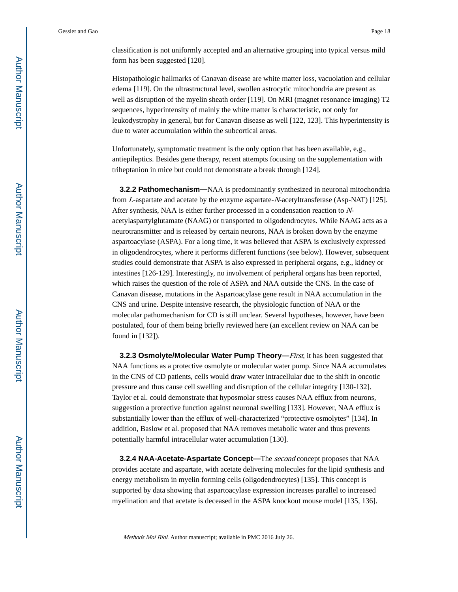classification is not uniformly accepted and an alternative grouping into typical versus mild form has been suggested [120].

Histopathologic hallmarks of Canavan disease are white matter loss, vacuolation and cellular edema [119]. On the ultrastructural level, swollen astrocytic mitochondria are present as well as disruption of the myelin sheath order [119]. On MRI (magnet resonance imaging) T2 sequences, hyperintensity of mainly the white matter is characteristic, not only for leukodystrophy in general, but for Canavan disease as well [122, 123]. This hyperintensity is due to water accumulation within the subcortical areas.

Unfortunately, symptomatic treatment is the only option that has been available, e.g., antiepileptics. Besides gene therapy, recent attempts focusing on the supplementation with triheptanion in mice but could not demonstrate a break through [124].

 **3.2.2 Pathomechanism—**NAA is predominantly synthesized in neuronal mitochondria from L-aspartate and acetate by the enzyme aspartate-N-acetyltransferase (Asp-NAT) [125]. After synthesis, NAA is either further processed in a condensation reaction to Nacetylaspartylglutamate (NAAG) or transported to oligodendrocytes. While NAAG acts as a neurotransmitter and is released by certain neurons, NAA is broken down by the enzyme aspartoacylase (ASPA). For a long time, it was believed that ASPA is exclusively expressed in oligodendrocytes, where it performs different functions (see below). However, subsequent studies could demonstrate that ASPA is also expressed in peripheral organs, e.g., kidney or intestines [126-129]. Interestingly, no involvement of peripheral organs has been reported, which raises the question of the role of ASPA and NAA outside the CNS. In the case of Canavan disease, mutations in the Aspartoacylase gene result in NAA accumulation in the CNS and urine. Despite intensive research, the physiologic function of NAA or the molecular pathomechanism for CD is still unclear. Several hypotheses, however, have been postulated, four of them being briefly reviewed here (an excellent review on NAA can be found in [132]).

 **3.2.3 Osmolyte/Molecular Water Pump Theory—**First, it has been suggested that NAA functions as a protective osmolyte or molecular water pump. Since NAA accumulates in the CNS of CD patients, cells would draw water intracellular due to the shift in oncotic pressure and thus cause cell swelling and disruption of the cellular integrity [130-132]. Taylor et al. could demonstrate that hyposmolar stress causes NAA efflux from neurons, suggestion a protective function against neuronal swelling [133]. However, NAA efflux is substantially lower than the efflux of well-characterized "protective osmolytes" [134]. In addition, Baslow et al. proposed that NAA removes metabolic water and thus prevents potentially harmful intracellular water accumulation [130].

 **3.2.4 NAA-Acetate-Aspartate Concept—**The second concept proposes that NAA provides acetate and aspartate, with acetate delivering molecules for the lipid synthesis and energy metabolism in myelin forming cells (oligodendrocytes) [135]. This concept is supported by data showing that aspartoacylase expression increases parallel to increased myelination and that acetate is deceased in the ASPA knockout mouse model [135, 136].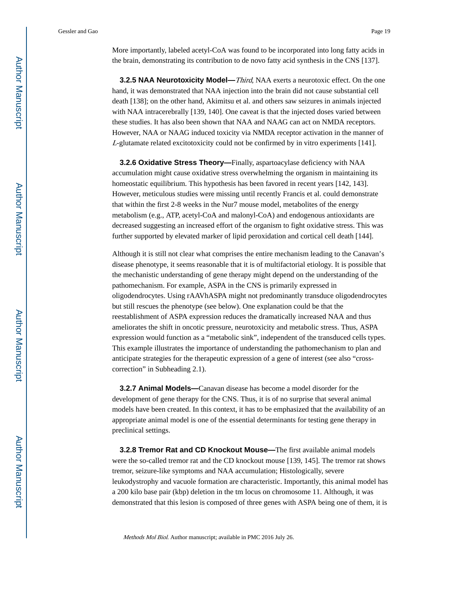More importantly, labeled acetyl-CoA was found to be incorporated into long fatty acids in the brain, demonstrating its contribution to de novo fatty acid synthesis in the CNS [137].

**3.2.5 NAA Neurotoxicity Model—***Third*, NAA exerts a neurotoxic effect. On the one hand, it was demonstrated that NAA injection into the brain did not cause substantial cell death [138]; on the other hand, Akimitsu et al. and others saw seizures in animals injected with NAA intracerebrally [139, 140]. One caveat is that the injected doses varied between these studies. It has also been shown that NAA and NAAG can act on NMDA receptors. However, NAA or NAAG induced toxicity via NMDA receptor activation in the manner of <sup>L</sup>-glutamate related excitotoxicity could not be confirmed by in vitro experiments [141].

 **3.2.6 Oxidative Stress Theory—**Finally, aspartoacylase deficiency with NAA accumulation might cause oxidative stress overwhelming the organism in maintaining its homeostatic equilibrium. This hypothesis has been favored in recent years [142, 143]. However, meticulous studies were missing until recently Francis et al. could demonstrate that within the first 2-8 weeks in the Nur7 mouse model, metabolites of the energy metabolism (e.g., ATP, acetyl-CoA and malonyl-CoA) and endogenous antioxidants are decreased suggesting an increased effort of the organism to fight oxidative stress. This was further supported by elevated marker of lipid peroxidation and cortical cell death [144].

Although it is still not clear what comprises the entire mechanism leading to the Canavan's disease phenotype, it seems reasonable that it is of multifactorial etiology. It is possible that the mechanistic understanding of gene therapy might depend on the understanding of the pathomechanism. For example, ASPA in the CNS is primarily expressed in oligodendrocytes. Using rAAVhASPA might not predominantly transduce oligodendrocytes but still rescues the phenotype (see below). One explanation could be that the reestablishment of ASPA expression reduces the dramatically increased NAA and thus ameliorates the shift in oncotic pressure, neurotoxicity and metabolic stress. Thus, ASPA expression would function as a "metabolic sink", independent of the transduced cells types. This example illustrates the importance of understanding the pathomechanism to plan and anticipate strategies for the therapeutic expression of a gene of interest (see also "crosscorrection" in Subheading 2.1).

 **3.2.7 Animal Models—**Canavan disease has become a model disorder for the development of gene therapy for the CNS. Thus, it is of no surprise that several animal models have been created. In this context, it has to be emphasized that the availability of an appropriate animal model is one of the essential determinants for testing gene therapy in preclinical settings.

 **3.2.8 Tremor Rat and CD Knockout Mouse—**The first available animal models were the so-called tremor rat and the CD knockout mouse [139, 145]. The tremor rat shows tremor, seizure-like symptoms and NAA accumulation; Histologically, severe leukodystrophy and vacuole formation are characteristic. Importantly, this animal model has a 200 kilo base pair (kbp) deletion in the tm locus on chromosome 11. Although, it was demonstrated that this lesion is composed of three genes with ASPA being one of them, it is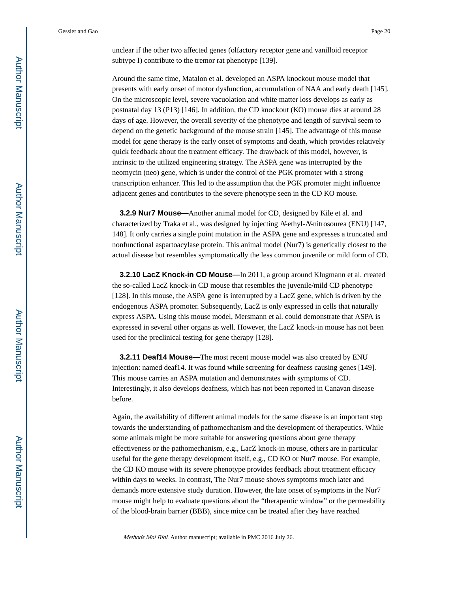unclear if the other two affected genes (olfactory receptor gene and vanilloid receptor subtype I) contribute to the tremor rat phenotype [139].

Around the same time, Matalon et al. developed an ASPA knockout mouse model that presents with early onset of motor dysfunction, accumulation of NAA and early death [145]. On the microscopic level, severe vacuolation and white matter loss develops as early as postnatal day 13 (P13) [146]. In addition, the CD knockout (KO) mouse dies at around 28 days of age. However, the overall severity of the phenotype and length of survival seem to depend on the genetic background of the mouse strain [145]. The advantage of this mouse model for gene therapy is the early onset of symptoms and death, which provides relatively quick feedback about the treatment efficacy. The drawback of this model, however, is intrinsic to the utilized engineering strategy. The ASPA gene was interrupted by the neomycin (neo) gene, which is under the control of the PGK promoter with a strong transcription enhancer. This led to the assumption that the PGK promoter might influence adjacent genes and contributes to the severe phenotype seen in the CD KO mouse.

 **3.2.9 Nur7 Mouse—**Another animal model for CD, designed by Kile et al. and characterized by Traka et al., was designed by injecting N-ethyl-N-nitrosourea (ENU) [147, 148]. It only carries a single point mutation in the ASPA gene and expresses a truncated and nonfunctional aspartoacylase protein. This animal model (Nur7) is genetically closest to the actual disease but resembles symptomatically the less common juvenile or mild form of CD.

 **3.2.10 LacZ Knock-in CD Mouse—**In 2011, a group around Klugmann et al. created the so-called LacZ knock-in CD mouse that resembles the juvenile/mild CD phenotype [128]. In this mouse, the ASPA gene is interrupted by a LacZ gene, which is driven by the endogenous ASPA promoter. Subsequently, LacZ is only expressed in cells that naturally express ASPA. Using this mouse model, Mersmann et al. could demonstrate that ASPA is expressed in several other organs as well. However, the LacZ knock-in mouse has not been used for the preclinical testing for gene therapy [128].

 **3.2.11 Deaf14 Mouse—**The most recent mouse model was also created by ENU injection: named deaf14. It was found while screening for deafness causing genes [149]. This mouse carries an ASPA mutation and demonstrates with symptoms of CD. Interestingly, it also develops deafness, which has not been reported in Canavan disease before.

Again, the availability of different animal models for the same disease is an important step towards the understanding of pathomechanism and the development of therapeutics. While some animals might be more suitable for answering questions about gene therapy effectiveness or the pathomechanism, e.g., LacZ knock-in mouse, others are in particular useful for the gene therapy development itself, e.g., CD KO or Nur7 mouse. For example, the CD KO mouse with its severe phenotype provides feedback about treatment efficacy within days to weeks. In contrast, The Nur7 mouse shows symptoms much later and demands more extensive study duration. However, the late onset of symptoms in the Nur7 mouse might help to evaluate questions about the "therapeutic window" or the permeability of the blood-brain barrier (BBB), since mice can be treated after they have reached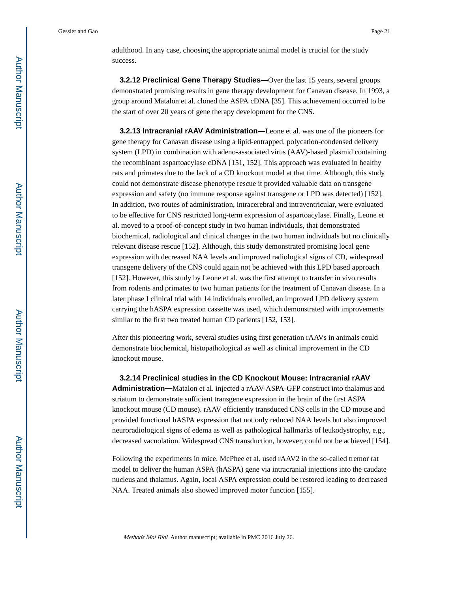adulthood. In any case, choosing the appropriate animal model is crucial for the study success.

**3.2.12 Preclinical Gene Therapy Studies—Over the last 15 years, several groups** demonstrated promising results in gene therapy development for Canavan disease. In 1993, a group around Matalon et al. cloned the ASPA cDNA [35]. This achievement occurred to be the start of over 20 years of gene therapy development for the CNS.

 **3.2.13 Intracranial rAAV Administration—**Leone et al. was one of the pioneers for gene therapy for Canavan disease using a lipid-entrapped, polycation-condensed delivery system (LPD) in combination with adeno-associated virus (AAV)-based plasmid containing the recombinant aspartoacylase cDNA [151, 152]. This approach was evaluated in healthy rats and primates due to the lack of a CD knockout model at that time. Although, this study could not demonstrate disease phenotype rescue it provided valuable data on transgene expression and safety (no immune response against transgene or LPD was detected) [152]. In addition, two routes of administration, intracerebral and intraventricular, were evaluated to be effective for CNS restricted long-term expression of aspartoacylase. Finally, Leone et al. moved to a proof-of-concept study in two human individuals, that demonstrated biochemical, radiological and clinical changes in the two human individuals but no clinically relevant disease rescue [152]. Although, this study demonstrated promising local gene expression with decreased NAA levels and improved radiological signs of CD, widespread transgene delivery of the CNS could again not be achieved with this LPD based approach [152]. However, this study by Leone et al. was the first attempt to transfer in vivo results from rodents and primates to two human patients for the treatment of Canavan disease. In a later phase I clinical trial with 14 individuals enrolled, an improved LPD delivery system carrying the hASPA expression cassette was used, which demonstrated with improvements similar to the first two treated human CD patients [152, 153].

After this pioneering work, several studies using first generation rAAVs in animals could demonstrate biochemical, histopathological as well as clinical improvement in the CD knockout mouse.

 **3.2.14 Preclinical studies in the CD Knockout Mouse: Intracranial rAAV Administration—**Matalon et al. injected a rAAV-ASPA-GFP construct into thalamus and striatum to demonstrate sufficient transgene expression in the brain of the first ASPA knockout mouse (CD mouse). rAAV efficiently transduced CNS cells in the CD mouse and provided functional hASPA expression that not only reduced NAA levels but also improved neuroradiological signs of edema as well as pathological hallmarks of leukodystrophy, e.g., decreased vacuolation. Widespread CNS transduction, however, could not be achieved [154].

Following the experiments in mice, McPhee et al. used rAAV2 in the so-called tremor rat model to deliver the human ASPA (hASPA) gene via intracranial injections into the caudate nucleus and thalamus. Again, local ASPA expression could be restored leading to decreased NAA. Treated animals also showed improved motor function [155].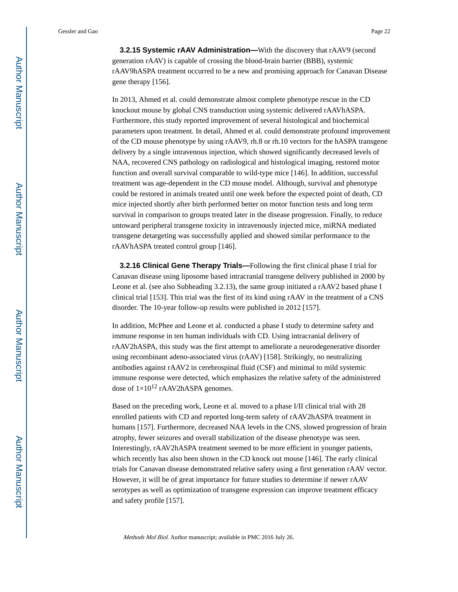**3.2.15 Systemic rAAV Administration—**With the discovery that rAAV9 (second generation rAAV) is capable of crossing the blood-brain barrier (BBB), systemic rAAV9hASPA treatment occurred to be a new and promising approach for Canavan Disease gene therapy [156].

In 2013, Ahmed et al. could demonstrate almost complete phenotype rescue in the CD knockout mouse by global CNS transduction using systemic delivered rAAVhASPA. Furthermore, this study reported improvement of several histological and biochemical parameters upon treatment. In detail, Ahmed et al. could demonstrate profound improvement of the CD mouse phenotype by using rAAV9, rh.8 or rh.10 vectors for the hASPA transgene delivery by a single intravenous injection, which showed significantly decreased levels of NAA, recovered CNS pathology on radiological and histological imaging, restored motor function and overall survival comparable to wild-type mice [146]. In addition, successful treatment was age-dependent in the CD mouse model. Although, survival and phenotype could be restored in animals treated until one week before the expected point of death, CD mice injected shortly after birth performed better on motor function tests and long term survival in comparison to groups treated later in the disease progression. Finally, to reduce untoward peripheral transgene toxicity in intravenously injected mice, miRNA mediated transgene detargeting was successfully applied and showed similar performance to the rAAVhASPA treated control group [146].

 **3.2.16 Clinical Gene Therapy Trials—**Following the first clinical phase I trial for Canavan disease using liposome based intracranial transgene delivery published in 2000 by Leone et al. (see also Subheading 3.2.13), the same group initiated a rAAV2 based phase I clinical trial [153]. This trial was the first of its kind using rAAV in the treatment of a CNS disorder. The 10-year follow-up results were published in 2012 [157].

In addition, McPhee and Leone et al. conducted a phase I study to determine safety and immune response in ten human individuals with CD. Using intracranial delivery of rAAV2hASPA, this study was the first attempt to ameliorate a neurodegenerative disorder using recombinant adeno-associated virus (rAAV) [158]. Strikingly, no neutralizing antibodies against rAAV2 in cerebrospinal fluid (CSF) and minimal to mild systemic immune response were detected, which emphasizes the relative safety of the administered dose of  $1\times10^{12}$  rAAV2hASPA genomes.

Based on the preceding work, Leone et al. moved to a phase I/II clinical trial with 28 enrolled patients with CD and reported long-term safety of rAAV2hASPA treatment in humans [157]. Furthermore, decreased NAA levels in the CNS, slowed progression of brain atrophy, fewer seizures and overall stabilization of the disease phenotype was seen. Interestingly, rAAV2hASPA treatment seemed to be more efficient in younger patients, which recently has also been shown in the CD knock out mouse [146]. The early clinical trials for Canavan disease demonstrated relative safety using a first generation rAAV vector. However, it will be of great importance for future studies to determine if newer rAAV serotypes as well as optimization of transgene expression can improve treatment efficacy and safety profile [157].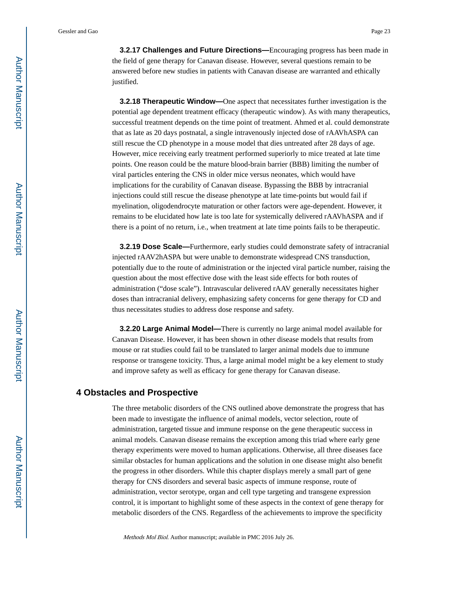**3.2.17 Challenges and Future Directions—**Encouraging progress has been made in the field of gene therapy for Canavan disease. However, several questions remain to be answered before new studies in patients with Canavan disease are warranted and ethically justified.

 **3.2.18 Therapeutic Window—**One aspect that necessitates further investigation is the potential age dependent treatment efficacy (therapeutic window). As with many therapeutics, successful treatment depends on the time point of treatment. Ahmed et al. could demonstrate that as late as 20 days postnatal, a single intravenously injected dose of rAAVhASPA can still rescue the CD phenotype in a mouse model that dies untreated after 28 days of age. However, mice receiving early treatment performed superiorly to mice treated at late time points. One reason could be the mature blood-brain barrier (BBB) limiting the number of viral particles entering the CNS in older mice versus neonates, which would have implications for the curability of Canavan disease. Bypassing the BBB by intracranial injections could still rescue the disease phenotype at late time-points but would fail if myelination, oligodendrocyte maturation or other factors were age-dependent. However, it remains to be elucidated how late is too late for systemically delivered rAAVhASPA and if there is a point of no return, i.e., when treatment at late time points fails to be therapeutic.

 **3.2.19 Dose Scale—**Furthermore, early studies could demonstrate safety of intracranial injected rAAV2hASPA but were unable to demonstrate widespread CNS transduction, potentially due to the route of administration or the injected viral particle number, raising the question about the most effective dose with the least side effects for both routes of administration ("dose scale"). Intravascular delivered rAAV generally necessitates higher doses than intracranial delivery, emphasizing safety concerns for gene therapy for CD and thus necessitates studies to address dose response and safety.

 **3.2.20 Large Animal Model—**There is currently no large animal model available for Canavan Disease. However, it has been shown in other disease models that results from mouse or rat studies could fail to be translated to larger animal models due to immune response or transgene toxicity. Thus, a large animal model might be a key element to study and improve safety as well as efficacy for gene therapy for Canavan disease.

#### **4 Obstacles and Prospective**

The three metabolic disorders of the CNS outlined above demonstrate the progress that has been made to investigate the influence of animal models, vector selection, route of administration, targeted tissue and immune response on the gene therapeutic success in animal models. Canavan disease remains the exception among this triad where early gene therapy experiments were moved to human applications. Otherwise, all three diseases face similar obstacles for human applications and the solution in one disease might also benefit the progress in other disorders. While this chapter displays merely a small part of gene therapy for CNS disorders and several basic aspects of immune response, route of administration, vector serotype, organ and cell type targeting and transgene expression control, it is important to highlight some of these aspects in the context of gene therapy for metabolic disorders of the CNS. Regardless of the achievements to improve the specificity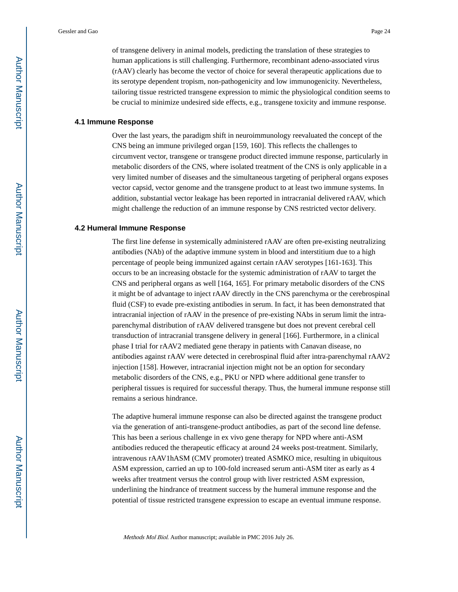of transgene delivery in animal models, predicting the translation of these strategies to human applications is still challenging. Furthermore, recombinant adeno-associated virus (rAAV) clearly has become the vector of choice for several therapeutic applications due to its serotype dependent tropism, non-pathogenicity and low immunogenicity. Nevertheless, tailoring tissue restricted transgene expression to mimic the physiological condition seems to be crucial to minimize undesired side effects, e.g., transgene toxicity and immune response.

#### **4.1 Immune Response**

Over the last years, the paradigm shift in neuroimmunology reevaluated the concept of the CNS being an immune privileged organ [159, 160]. This reflects the challenges to circumvent vector, transgene or transgene product directed immune response, particularly in metabolic disorders of the CNS, where isolated treatment of the CNS is only applicable in a very limited number of diseases and the simultaneous targeting of peripheral organs exposes vector capsid, vector genome and the transgene product to at least two immune systems. In addition, substantial vector leakage has been reported in intracranial delivered rAAV, which might challenge the reduction of an immune response by CNS restricted vector delivery.

#### **4.2 Humeral Immune Response**

The first line defense in systemically administered rAAV are often pre-existing neutralizing antibodies (NAb) of the adaptive immune system in blood and interstitium due to a high percentage of people being immunized against certain rAAV serotypes [161-163]. This occurs to be an increasing obstacle for the systemic administration of rAAV to target the CNS and peripheral organs as well [164, 165]. For primary metabolic disorders of the CNS it might be of advantage to inject rAAV directly in the CNS parenchyma or the cerebrospinal fluid (CSF) to evade pre-existing antibodies in serum. In fact, it has been demonstrated that intracranial injection of rAAV in the presence of pre-existing NAbs in serum limit the intraparenchymal distribution of rAAV delivered transgene but does not prevent cerebral cell transduction of intracranial transgene delivery in general [166]. Furthermore, in a clinical phase I trial for rAAV2 mediated gene therapy in patients with Canavan disease, no antibodies against rAAV were detected in cerebrospinal fluid after intra-parenchymal rAAV2 injection [158]. However, intracranial injection might not be an option for secondary metabolic disorders of the CNS, e.g., PKU or NPD where additional gene transfer to peripheral tissues is required for successful therapy. Thus, the humeral immune response still remains a serious hindrance.

The adaptive humeral immune response can also be directed against the transgene product via the generation of anti-transgene-product antibodies, as part of the second line defense. This has been a serious challenge in ex vivo gene therapy for NPD where anti-ASM antibodies reduced the therapeutic efficacy at around 24 weeks post-treatment. Similarly, intravenous rAAV1hASM (CMV promoter) treated ASMKO mice, resulting in ubiquitous ASM expression, carried an up to 100-fold increased serum anti-ASM titer as early as 4 weeks after treatment versus the control group with liver restricted ASM expression, underlining the hindrance of treatment success by the humeral immune response and the potential of tissue restricted transgene expression to escape an eventual immune response.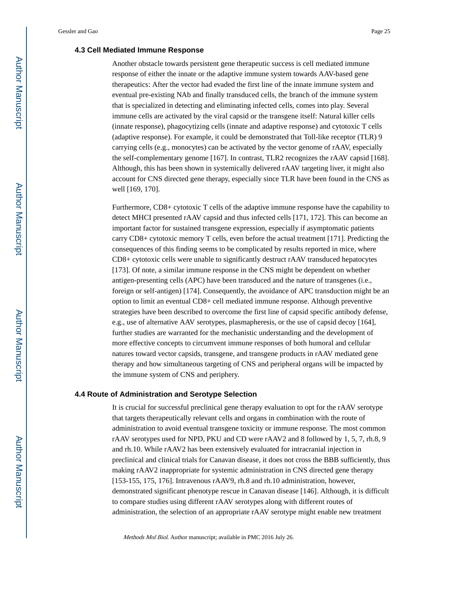#### **4.3 Cell Mediated Immune Response**

Another obstacle towards persistent gene therapeutic success is cell mediated immune response of either the innate or the adaptive immune system towards AAV-based gene therapeutics: After the vector had evaded the first line of the innate immune system and eventual pre-existing NAb and finally transduced cells, the branch of the immune system that is specialized in detecting and eliminating infected cells, comes into play. Several immune cells are activated by the viral capsid or the transgene itself: Natural killer cells (innate response), phagocytizing cells (innate and adaptive response) and cytotoxic T cells (adaptive response). For example, it could be demonstrated that Toll-like receptor (TLR) 9 carrying cells (e.g., monocytes) can be activated by the vector genome of rAAV, especially the self-complementary genome [167]. In contrast, TLR2 recognizes the rAAV capsid [168]. Although, this has been shown in systemically delivered rAAV targeting liver, it might also account for CNS directed gene therapy, especially since TLR have been found in the CNS as well [169, 170].

Furthermore, CD8+ cytotoxic T cells of the adaptive immune response have the capability to detect MHCI presented rAAV capsid and thus infected cells [171, 172]. This can become an important factor for sustained transgene expression, especially if asymptomatic patients carry CD8+ cytotoxic memory T cells, even before the actual treatment [171]. Predicting the consequences of this finding seems to be complicated by results reported in mice, where CD8+ cytotoxic cells were unable to significantly destruct rAAV transduced hepatocytes [173]. Of note, a similar immune response in the CNS might be dependent on whether antigen-presenting cells (APC) have been transduced and the nature of transgenes (i.e., foreign or self-antigen) [174]. Consequently, the avoidance of APC transduction might be an option to limit an eventual CD8+ cell mediated immune response. Although preventive strategies have been described to overcome the first line of capsid specific antibody defense, e.g., use of alternative AAV serotypes, plasmapheresis, or the use of capsid decoy [164], further studies are warranted for the mechanistic understanding and the development of more effective concepts to circumvent immune responses of both humoral and cellular natures toward vector capsids, transgene, and transgene products in rAAV mediated gene therapy and how simultaneous targeting of CNS and peripheral organs will be impacted by the immune system of CNS and periphery.

#### **4.4 Route of Administration and Serotype Selection**

It is crucial for successful preclinical gene therapy evaluation to opt for the rAAV serotype that targets therapeutically relevant cells and organs in combination with the route of administration to avoid eventual transgene toxicity or immune response. The most common rAAV serotypes used for NPD, PKU and CD were rAAV2 and 8 followed by 1, 5, 7, rh.8, 9 and rh.10. While rAAV2 has been extensively evaluated for intracranial injection in preclinical and clinical trials for Canavan disease, it does not cross the BBB sufficiently, thus making rAAV2 inappropriate for systemic administration in CNS directed gene therapy [153-155, 175, 176]. Intravenous rAAV9, rh.8 and rh.10 administration, however, demonstrated significant phenotype rescue in Canavan disease [146]. Although, it is difficult to compare studies using different rAAV serotypes along with different routes of administration, the selection of an appropriate rAAV serotype might enable new treatment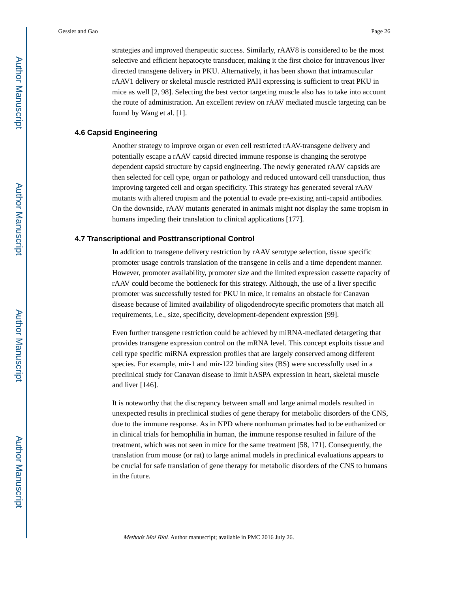strategies and improved therapeutic success. Similarly, rAAV8 is considered to be the most selective and efficient hepatocyte transducer, making it the first choice for intravenous liver directed transgene delivery in PKU. Alternatively, it has been shown that intramuscular rAAV1 delivery or skeletal muscle restricted PAH expressing is sufficient to treat PKU in mice as well [2, 98]. Selecting the best vector targeting muscle also has to take into account the route of administration. An excellent review on rAAV mediated muscle targeting can be found by Wang et al. [1].

#### **4.6 Capsid Engineering**

Another strategy to improve organ or even cell restricted rAAV-transgene delivery and potentially escape a rAAV capsid directed immune response is changing the serotype dependent capsid structure by capsid engineering. The newly generated rAAV capsids are then selected for cell type, organ or pathology and reduced untoward cell transduction, thus improving targeted cell and organ specificity. This strategy has generated several rAAV mutants with altered tropism and the potential to evade pre-existing anti-capsid antibodies. On the downside, rAAV mutants generated in animals might not display the same tropism in humans impeding their translation to clinical applications [177].

#### **4.7 Transcriptional and Posttranscriptional Control**

In addition to transgene delivery restriction by rAAV serotype selection, tissue specific promoter usage controls translation of the transgene in cells and a time dependent manner. However, promoter availability, promoter size and the limited expression cassette capacity of rAAV could become the bottleneck for this strategy. Although, the use of a liver specific promoter was successfully tested for PKU in mice, it remains an obstacle for Canavan disease because of limited availability of oligodendrocyte specific promoters that match all requirements, i.e., size, specificity, development-dependent expression [99].

Even further transgene restriction could be achieved by miRNA-mediated detargeting that provides transgene expression control on the mRNA level. This concept exploits tissue and cell type specific miRNA expression profiles that are largely conserved among different species. For example, mir-1 and mir-122 binding sites (BS) were successfully used in a preclinical study for Canavan disease to limit hASPA expression in heart, skeletal muscle and liver [146].

It is noteworthy that the discrepancy between small and large animal models resulted in unexpected results in preclinical studies of gene therapy for metabolic disorders of the CNS, due to the immune response. As in NPD where nonhuman primates had to be euthanized or in clinical trials for hemophilia in human, the immune response resulted in failure of the treatment, which was not seen in mice for the same treatment [58, 171]. Consequently, the translation from mouse (or rat) to large animal models in preclinical evaluations appears to be crucial for safe translation of gene therapy for metabolic disorders of the CNS to humans in the future.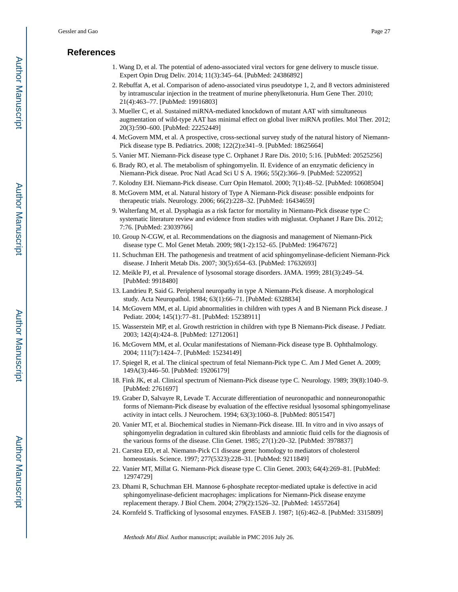## **References**

- 1. Wang D, et al. The potential of adeno-associated viral vectors for gene delivery to muscle tissue. Expert Opin Drug Deliv. 2014; 11(3):345–64. [PubMed: 24386892]
- 2. Rebuffat A, et al. Comparison of adeno-associated virus pseudotype 1, 2, and 8 vectors administered by intramuscular injection in the treatment of murine phenylketonuria. Hum Gene Ther. 2010; 21(4):463–77. [PubMed: 19916803]
- 3. Mueller C, et al. Sustained miRNA-mediated knockdown of mutant AAT with simultaneous augmentation of wild-type AAT has minimal effect on global liver miRNA profiles. Mol Ther. 2012; 20(3):590–600. [PubMed: 22252449]
- 4. McGovern MM, et al. A prospective, cross-sectional survey study of the natural history of Niemann-Pick disease type B. Pediatrics. 2008; 122(2):e341–9. [PubMed: 18625664]
- 5. Vanier MT. Niemann-Pick disease type C. Orphanet J Rare Dis. 2010; 5:16. [PubMed: 20525256]
- 6. Brady RO, et al. The metabolism of sphingomyelin. II. Evidence of an enzymatic deficiency in Niemann-Pick diseae. Proc Natl Acad Sci U S A. 1966; 55(2):366–9. [PubMed: 5220952]
- 7. Kolodny EH. Niemann-Pick disease. Curr Opin Hematol. 2000; 7(1):48–52. [PubMed: 10608504]
- 8. McGovern MM, et al. Natural history of Type A Niemann-Pick disease: possible endpoints for therapeutic trials. Neurology. 2006; 66(2):228–32. [PubMed: 16434659]
- 9. Walterfang M, et al. Dysphagia as a risk factor for mortality in Niemann-Pick disease type C: systematic literature review and evidence from studies with miglustat. Orphanet J Rare Dis. 2012; 7:76. [PubMed: 23039766]
- 10. Group N-CGW, et al. Recommendations on the diagnosis and management of Niemann-Pick disease type C. Mol Genet Metab. 2009; 98(1-2):152–65. [PubMed: 19647672]
- 11. Schuchman EH. The pathogenesis and treatment of acid sphingomyelinase-deficient Niemann-Pick disease. J Inherit Metab Dis. 2007; 30(5):654–63. [PubMed: 17632693]
- 12. Meikle PJ, et al. Prevalence of lysosomal storage disorders. JAMA. 1999; 281(3):249–54. [PubMed: 9918480]
- 13. Landrieu P, Said G. Peripheral neuropathy in type A Niemann-Pick disease. A morphological study. Acta Neuropathol. 1984; 63(1):66–71. [PubMed: 6328834]
- 14. McGovern MM, et al. Lipid abnormalities in children with types A and B Niemann Pick disease. J Pediatr. 2004; 145(1):77–81. [PubMed: 15238911]
- 15. Wasserstein MP, et al. Growth restriction in children with type B Niemann-Pick disease. J Pediatr. 2003; 142(4):424–8. [PubMed: 12712061]
- 16. McGovern MM, et al. Ocular manifestations of Niemann-Pick disease type B. Ophthalmology. 2004; 111(7):1424–7. [PubMed: 15234149]
- 17. Spiegel R, et al. The clinical spectrum of fetal Niemann-Pick type C. Am J Med Genet A. 2009; 149A(3):446–50. [PubMed: 19206179]
- 18. Fink JK, et al. Clinical spectrum of Niemann-Pick disease type C. Neurology. 1989; 39(8):1040–9. [PubMed: 2761697]
- 19. Graber D, Salvayre R, Levade T. Accurate differentiation of neuronopathic and nonneuronopathic forms of Niemann-Pick disease by evaluation of the effective residual lysosomal sphingomyelinase activity in intact cells. J Neurochem. 1994; 63(3):1060–8. [PubMed: 8051547]
- 20. Vanier MT, et al. Biochemical studies in Niemann-Pick disease. III. In vitro and in vivo assays of sphingomyelin degradation in cultured skin fibroblasts and amniotic fluid cells for the diagnosis of the various forms of the disease. Clin Genet. 1985; 27(1):20–32. [PubMed: 3978837]
- 21. Carstea ED, et al. Niemann-Pick C1 disease gene: homology to mediators of cholesterol homeostasis. Science. 1997; 277(5323):228–31. [PubMed: 9211849]
- 22. Vanier MT, Millat G. Niemann-Pick disease type C. Clin Genet. 2003; 64(4):269–81. [PubMed: 12974729]
- 23. Dhami R, Schuchman EH. Mannose 6-phosphate receptor-mediated uptake is defective in acid sphingomyelinase-deficient macrophages: implications for Niemann-Pick disease enzyme replacement therapy. J Biol Chem. 2004; 279(2):1526–32. [PubMed: 14557264]
- 24. Kornfeld S. Trafficking of lysosomal enzymes. FASEB J. 1987; 1(6):462–8. [PubMed: 3315809]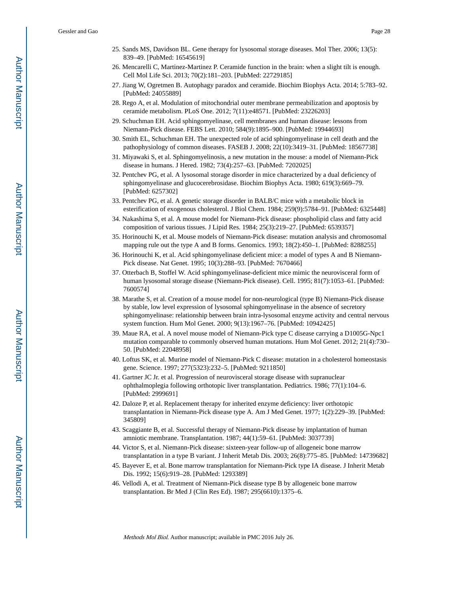- 25. Sands MS, Davidson BL. Gene therapy for lysosomal storage diseases. Mol Ther. 2006; 13(5): 839–49. [PubMed: 16545619]
- 26. Mencarelli C, Martinez-Martinez P. Ceramide function in the brain: when a slight tilt is enough. Cell Mol Life Sci. 2013; 70(2):181–203. [PubMed: 22729185]
- 27. Jiang W, Ogretmen B. Autophagy paradox and ceramide. Biochim Biophys Acta. 2014; 5:783–92. [PubMed: 24055889]
- 28. Rego A, et al. Modulation of mitochondrial outer membrane permeabilization and apoptosis by ceramide metabolism. PLoS One. 2012; 7(11):e48571. [PubMed: 23226203]
- 29. Schuchman EH. Acid sphingomyelinase, cell membranes and human disease: lessons from Niemann-Pick disease. FEBS Lett. 2010; 584(9):1895–900. [PubMed: 19944693]
- 30. Smith EL, Schuchman EH. The unexpected role of acid sphingomyelinase in cell death and the pathophysiology of common diseases. FASEB J. 2008; 22(10):3419–31. [PubMed: 18567738]
- 31. Miyawaki S, et al. Sphingomyelinosis, a new mutation in the mouse: a model of Niemann-Pick disease in humans. J Hered. 1982; 73(4):257–63. [PubMed: 7202025]
- 32. Pentchev PG, et al. A lysosomal storage disorder in mice characterized by a dual deficiency of sphingomyelinase and glucocerebrosidase. Biochim Biophys Acta. 1980; 619(3):669–79. [PubMed: 6257302]
- 33. Pentchev PG, et al. A genetic storage disorder in BALB/C mice with a metabolic block in esterification of exogenous cholesterol. J Biol Chem. 1984; 259(9):5784–91. [PubMed: 6325448]
- 34. Nakashima S, et al. A mouse model for Niemann-Pick disease: phospholipid class and fatty acid composition of various tissues. J Lipid Res. 1984; 25(3):219–27. [PubMed: 6539357]
- 35. Horinouchi K, et al. Mouse models of Niemann-Pick disease: mutation analysis and chromosomal mapping rule out the type A and B forms. Genomics. 1993; 18(2):450–1. [PubMed: 8288255]
- 36. Horinouchi K, et al. Acid sphingomyelinase deficient mice: a model of types A and B Niemann-Pick disease. Nat Genet. 1995; 10(3):288–93. [PubMed: 7670466]
- 37. Otterbach B, Stoffel W. Acid sphingomyelinase-deficient mice mimic the neurovisceral form of human lysosomal storage disease (Niemann-Pick disease). Cell. 1995; 81(7):1053–61. [PubMed: 7600574]
- 38. Marathe S, et al. Creation of a mouse model for non-neurological (type B) Niemann-Pick disease by stable, low level expression of lysosomal sphingomyelinase in the absence of secretory sphingomyelinase: relationship between brain intra-lysosomal enzyme activity and central nervous system function. Hum Mol Genet. 2000; 9(13):1967–76. [PubMed: 10942425]
- 39. Maue RA, et al. A novel mouse model of Niemann-Pick type C disease carrying a D1005G-Npc1 mutation comparable to commonly observed human mutations. Hum Mol Genet. 2012; 21(4):730– 50. [PubMed: 22048958]
- 40. Loftus SK, et al. Murine model of Niemann-Pick C disease: mutation in a cholesterol homeostasis gene. Science. 1997; 277(5323):232–5. [PubMed: 9211850]
- 41. Gartner JC Jr. et al. Progression of neurovisceral storage disease with supranuclear ophthalmoplegia following orthotopic liver transplantation. Pediatrics. 1986; 77(1):104–6. [PubMed: 2999691]
- 42. Daloze P, et al. Replacement therapy for inherited enzyme deficiency: liver orthotopic transplantation in Niemann-Pick disease type A. Am J Med Genet. 1977; 1(2):229–39. [PubMed: 345809]
- 43. Scaggiante B, et al. Successful therapy of Niemann-Pick disease by implantation of human amniotic membrane. Transplantation. 1987; 44(1):59–61. [PubMed: 3037739]
- 44. Victor S, et al. Niemann-Pick disease: sixteen-year follow-up of allogeneic bone marrow transplantation in a type B variant. J Inherit Metab Dis. 2003; 26(8):775–85. [PubMed: 14739682]
- 45. Bayever E, et al. Bone marrow transplantation for Niemann-Pick type IA disease. J Inherit Metab Dis. 1992; 15(6):919–28. [PubMed: 1293389]
- 46. Vellodi A, et al. Treatment of Niemann-Pick disease type B by allogeneic bone marrow transplantation. Br Med J (Clin Res Ed). 1987; 295(6610):1375–6.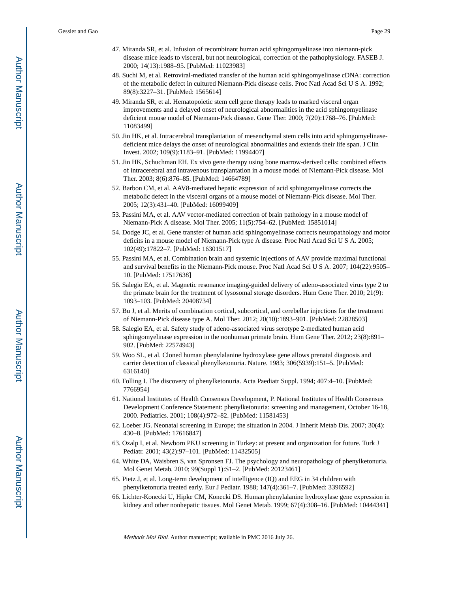- 47. Miranda SR, et al. Infusion of recombinant human acid sphingomyelinase into niemann-pick disease mice leads to visceral, but not neurological, correction of the pathophysiology. FASEB J. 2000; 14(13):1988–95. [PubMed: 11023983]
- 48. Suchi M, et al. Retroviral-mediated transfer of the human acid sphingomyelinase cDNA: correction of the metabolic defect in cultured Niemann-Pick disease cells. Proc Natl Acad Sci U S A. 1992; 89(8):3227–31. [PubMed: 1565614]
- 49. Miranda SR, et al. Hematopoietic stem cell gene therapy leads to marked visceral organ improvements and a delayed onset of neurological abnormalities in the acid sphingomyelinase deficient mouse model of Niemann-Pick disease. Gene Ther. 2000; 7(20):1768–76. [PubMed: 11083499]
- 50. Jin HK, et al. Intracerebral transplantation of mesenchymal stem cells into acid sphingomyelinasedeficient mice delays the onset of neurological abnormalities and extends their life span. J Clin Invest. 2002; 109(9):1183–91. [PubMed: 11994407]
- 51. Jin HK, Schuchman EH. Ex vivo gene therapy using bone marrow-derived cells: combined effects of intracerebral and intravenous transplantation in a mouse model of Niemann-Pick disease. Mol Ther. 2003; 8(6):876–85. [PubMed: 14664789]
- 52. Barbon CM, et al. AAV8-mediated hepatic expression of acid sphingomyelinase corrects the metabolic defect in the visceral organs of a mouse model of Niemann-Pick disease. Mol Ther. 2005; 12(3):431–40. [PubMed: 16099409]
- 53. Passini MA, et al. AAV vector-mediated correction of brain pathology in a mouse model of Niemann-Pick A disease. Mol Ther. 2005; 11(5):754–62. [PubMed: 15851014]
- 54. Dodge JC, et al. Gene transfer of human acid sphingomyelinase corrects neuropathology and motor deficits in a mouse model of Niemann-Pick type A disease. Proc Natl Acad Sci U S A. 2005; 102(49):17822–7. [PubMed: 16301517]
- 55. Passini MA, et al. Combination brain and systemic injections of AAV provide maximal functional and survival benefits in the Niemann-Pick mouse. Proc Natl Acad Sci U S A. 2007; 104(22):9505– 10. [PubMed: 17517638]
- 56. Salegio EA, et al. Magnetic resonance imaging-guided delivery of adeno-associated virus type 2 to the primate brain for the treatment of lysosomal storage disorders. Hum Gene Ther. 2010; 21(9): 1093–103. [PubMed: 20408734]
- 57. Bu J, et al. Merits of combination cortical, subcortical, and cerebellar injections for the treatment of Niemann-Pick disease type A. Mol Ther. 2012; 20(10):1893–901. [PubMed: 22828503]
- 58. Salegio EA, et al. Safety study of adeno-associated virus serotype 2-mediated human acid sphingomyelinase expression in the nonhuman primate brain. Hum Gene Ther. 2012; 23(8):891– 902. [PubMed: 22574943]
- 59. Woo SL, et al. Cloned human phenylalanine hydroxylase gene allows prenatal diagnosis and carrier detection of classical phenylketonuria. Nature. 1983; 306(5939):151–5. [PubMed: 6316140]
- 60. Folling I. The discovery of phenylketonuria. Acta Paediatr Suppl. 1994; 407:4–10. [PubMed: 7766954]
- 61. National Institutes of Health Consensus Development, P. National Institutes of Health Consensus Development Conference Statement: phenylketonuria: screening and management, October 16-18, 2000. Pediatrics. 2001; 108(4):972–82. [PubMed: 11581453]
- 62. Loeber JG. Neonatal screening in Europe; the situation in 2004. J Inherit Metab Dis. 2007; 30(4): 430–8. [PubMed: 17616847]
- 63. Ozalp I, et al. Newborn PKU screening in Turkey: at present and organization for future. Turk J Pediatr. 2001; 43(2):97–101. [PubMed: 11432505]
- 64. White DA, Waisbren S, van Spronsen FJ. The psychology and neuropathology of phenylketonuria. Mol Genet Metab. 2010; 99(Suppl 1):S1–2. [PubMed: 20123461]
- 65. Pietz J, et al. Long-term development of intelligence (IQ) and EEG in 34 children with phenylketonuria treated early. Eur J Pediatr. 1988; 147(4):361–7. [PubMed: 3396592]
- 66. Lichter-Konecki U, Hipke CM, Konecki DS. Human phenylalanine hydroxylase gene expression in kidney and other nonhepatic tissues. Mol Genet Metab. 1999; 67(4):308-16. [PubMed: 10444341]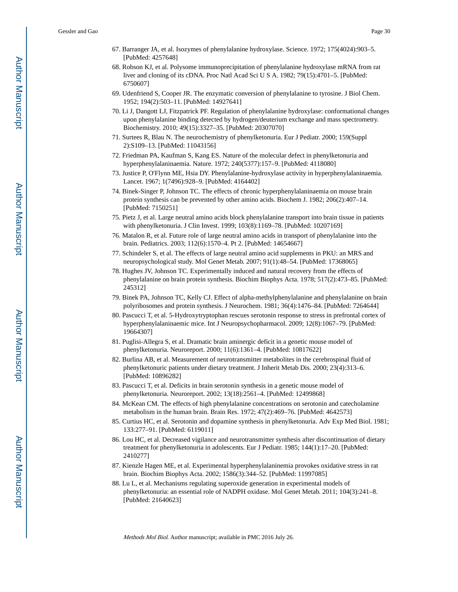- 67. Barranger JA, et al. Isozymes of phenylalanine hydroxylase. Science. 1972; 175(4024):903–5. [PubMed: 4257648]
- 68. Robson KJ, et al. Polysome immunoprecipitation of phenylalanine hydroxylase mRNA from rat liver and cloning of its cDNA. Proc Natl Acad Sci U S A. 1982; 79(15):4701–5. [PubMed: 6750607]
- 69. Udenfriend S, Cooper JR. The enzymatic conversion of phenylalanine to tyrosine. J Biol Chem. 1952; 194(2):503–11. [PubMed: 14927641]
- 70. Li J, Dangott LJ, Fitzpatrick PF. Regulation of phenylalanine hydroxylase: conformational changes upon phenylalanine binding detected by hydrogen/deuterium exchange and mass spectrometry. Biochemistry. 2010; 49(15):3327–35. [PubMed: 20307070]
- 71. Surtees R, Blau N. The neurochemistry of phenylketonuria. Eur J Pediatr. 2000; 159(Suppl 2):S109–13. [PubMed: 11043156]
- 72. Friedman PA, Kaufman S, Kang ES. Nature of the molecular defect in phenylketonuria and hyperphenylalaninaemia. Nature. 1972; 240(5377):157–9. [PubMed: 4118080]
- 73. Justice P, O'Flynn ME, Hsia DY. Phenylalanine-hydroxylase activity in hyperphenylalaninaemia. Lancet. 1967; 1(7496):928–9. [PubMed: 4164402]
- 74. Binek-Singer P, Johnson TC. The effects of chronic hyperphenylalaninaemia on mouse brain protein synthesis can be prevented by other amino acids. Biochem J. 1982; 206(2):407–14. [PubMed: 7150251]
- 75. Pietz J, et al. Large neutral amino acids block phenylalanine transport into brain tissue in patients with phenylketonuria. J Clin Invest. 1999; 103(8):1169–78. [PubMed: 10207169]
- 76. Matalon R, et al. Future role of large neutral amino acids in transport of phenylalanine into the brain. Pediatrics. 2003; 112(6):1570–4. Pt 2. [PubMed: 14654667]
- 77. Schindeler S, et al. The effects of large neutral amino acid supplements in PKU: an MRS and neuropsychological study. Mol Genet Metab. 2007; 91(1):48–54. [PubMed: 17368065]
- 78. Hughes JV, Johnson TC. Experimentally induced and natural recovery from the effects of phenylalanine on brain protein synthesis. Biochim Biophys Acta. 1978; 517(2):473–85. [PubMed: 245312]
- 79. Binek PA, Johnson TC, Kelly CJ. Effect of alpha-methylphenylalanine and phenylalanine on brain polyribosomes and protein synthesis. J Neurochem. 1981; 36(4):1476–84. [PubMed: 7264644]
- 80. Pascucci T, et al. 5-Hydroxytryptophan rescues serotonin response to stress in prefrontal cortex of hyperphenylalaninaemic mice. Int J Neuropsychopharmacol. 2009; 12(8):1067–79. [PubMed: 19664307]
- 81. Puglisi-Allegra S, et al. Dramatic brain aminergic deficit in a genetic mouse model of phenylketonuria. Neuroreport. 2000; 11(6):1361–4. [PubMed: 10817622]
- 82. Burlina AB, et al. Measurement of neurotransmitter metabolites in the cerebrospinal fluid of phenylketonuric patients under dietary treatment. J Inherit Metab Dis. 2000; 23(4):313–6. [PubMed: 10896282]
- 83. Pascucci T, et al. Deficits in brain serotonin synthesis in a genetic mouse model of phenylketonuria. Neuroreport. 2002; 13(18):2561–4. [PubMed: 12499868]
- 84. McKean CM. The effects of high phenylalanine concentrations on serotonin and catecholamine metabolism in the human brain. Brain Res. 1972; 47(2):469–76. [PubMed: 4642573]
- 85. Curtius HC, et al. Serotonin and dopamine synthesis in phenylketonuria. Adv Exp Med Biol. 1981; 133:277–91. [PubMed: 6119011]
- 86. Lou HC, et al. Decreased vigilance and neurotransmitter synthesis after discontinuation of dietary treatment for phenylketonuria in adolescents. Eur J Pediatr. 1985; 144(1):17–20. [PubMed: 2410277]
- 87. Kienzle Hagen ME, et al. Experimental hyperphenylalaninemia provokes oxidative stress in rat brain. Biochim Biophys Acta. 2002; 1586(3):344–52. [PubMed: 11997085]
- 88. Lu L, et al. Mechanisms regulating superoxide generation in experimental models of phenylketonuria: an essential role of NADPH oxidase. Mol Genet Metab. 2011; 104(3):241–8. [PubMed: 21640623]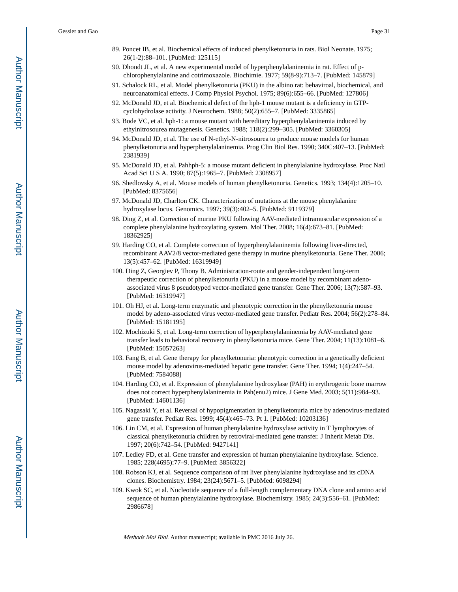- 89. Poncet IB, et al. Biochemical effects of induced phenylketonuria in rats. Biol Neonate. 1975; 26(1-2):88–101. [PubMed: 125115]
- 90. Dhondt JL, et al. A new experimental model of hyperphenylalaninemia in rat. Effect of pchlorophenylalanine and cotrimoxazole. Biochimie. 1977; 59(8-9):713–7. [PubMed: 145879]
- 91. Schalock RL, et al. Model phenylketonuria (PKU) in the albino rat: behaviroal, biochemical, and neuroanatomical effects. J Comp Physiol Psychol. 1975; 89(6):655–66. [PubMed: 127806]
- 92. McDonald JD, et al. Biochemical defect of the hph-1 mouse mutant is a deficiency in GTPcyclohydrolase activity. J Neurochem. 1988; 50(2):655–7. [PubMed: 3335865]
- 93. Bode VC, et al. hph-1: a mouse mutant with hereditary hyperphenylalaninemia induced by ethylnitrosourea mutagenesis. Genetics. 1988; 118(2):299–305. [PubMed: 3360305]
- 94. McDonald JD, et al. The use of N-ethyl-N-nitrosourea to produce mouse models for human phenylketonuria and hyperphenylalaninemia. Prog Clin Biol Res. 1990; 340C:407–13. [PubMed: 2381939]
- 95. McDonald JD, et al. Pahhph-5: a mouse mutant deficient in phenylalanine hydroxylase. Proc Natl Acad Sci U S A. 1990; 87(5):1965–7. [PubMed: 2308957]
- 96. Shedlovsky A, et al. Mouse models of human phenylketonuria. Genetics. 1993; 134(4):1205–10. [PubMed: 8375656]
- 97. McDonald JD, Charlton CK. Characterization of mutations at the mouse phenylalanine hydroxylase locus. Genomics. 1997; 39(3):402–5. [PubMed: 9119379]
- 98. Ding Z, et al. Correction of murine PKU following AAV-mediated intramuscular expression of a complete phenylalanine hydroxylating system. Mol Ther. 2008; 16(4):673–81. [PubMed: 18362925]
- 99. Harding CO, et al. Complete correction of hyperphenylalaninemia following liver-directed, recombinant AAV2/8 vector-mediated gene therapy in murine phenylketonuria. Gene Ther. 2006; 13(5):457–62. [PubMed: 16319949]
- 100. Ding Z, Georgiev P, Thony B. Administration-route and gender-independent long-term therapeutic correction of phenylketonuria (PKU) in a mouse model by recombinant adenoassociated virus 8 pseudotyped vector-mediated gene transfer. Gene Ther. 2006; 13(7):587–93. [PubMed: 16319947]
- 101. Oh HJ, et al. Long-term enzymatic and phenotypic correction in the phenylketonuria mouse model by adeno-associated virus vector-mediated gene transfer. Pediatr Res. 2004; 56(2):278–84. [PubMed: 15181195]
- 102. Mochizuki S, et al. Long-term correction of hyperphenylalaninemia by AAV-mediated gene transfer leads to behavioral recovery in phenylketonuria mice. Gene Ther. 2004; 11(13):1081–6. [PubMed: 15057263]
- 103. Fang B, et al. Gene therapy for phenylketonuria: phenotypic correction in a genetically deficient mouse model by adenovirus-mediated hepatic gene transfer. Gene Ther. 1994; 1(4):247–54. [PubMed: 7584088]
- 104. Harding CO, et al. Expression of phenylalanine hydroxylase (PAH) in erythrogenic bone marrow does not correct hyperphenylalaninemia in Pah(enu2) mice. J Gene Med. 2003; 5(11):984–93. [PubMed: 14601136]
- 105. Nagasaki Y, et al. Reversal of hypopigmentation in phenylketonuria mice by adenovirus-mediated gene transfer. Pediatr Res. 1999; 45(4):465–73. Pt 1. [PubMed: 10203136]
- 106. Lin CM, et al. Expression of human phenylalanine hydroxylase activity in T lymphocytes of classical phenylketonuria children by retroviral-mediated gene transfer. J Inherit Metab Dis. 1997; 20(6):742–54. [PubMed: 9427141]
- 107. Ledley FD, et al. Gene transfer and expression of human phenylalanine hydroxylase. Science. 1985; 228(4695):77–9. [PubMed: 3856322]
- 108. Robson KJ, et al. Sequence comparison of rat liver phenylalanine hydroxylase and its cDNA clones. Biochemistry. 1984; 23(24):5671–5. [PubMed: 6098294]
- 109. Kwok SC, et al. Nucleotide sequence of a full-length complementary DNA clone and amino acid sequence of human phenylalanine hydroxylase. Biochemistry. 1985; 24(3):556–61. [PubMed: 2986678]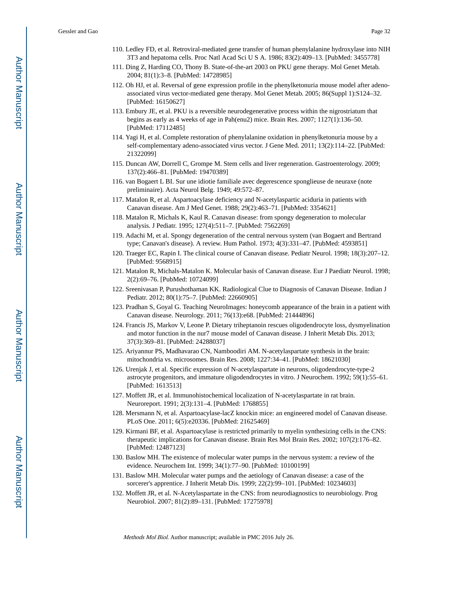- 110. Ledley FD, et al. Retroviral-mediated gene transfer of human phenylalanine hydroxylase into NIH 3T3 and hepatoma cells. Proc Natl Acad Sci U S A. 1986; 83(2):409–13. [PubMed: 3455778]
- 111. Ding Z, Harding CO, Thony B. State-of-the-art 2003 on PKU gene therapy. Mol Genet Metab. 2004; 81(1):3–8. [PubMed: 14728985]
- 112. Oh HJ, et al. Reversal of gene expression profile in the phenylketonuria mouse model after adenoassociated virus vector-mediated gene therapy. Mol Genet Metab. 2005; 86(Suppl 1):S124–32. [PubMed: 16150627]
- 113. Embury JE, et al. PKU is a reversible neurodegenerative process within the nigrostriatum that begins as early as 4 weeks of age in Pah(enu2) mice. Brain Res. 2007; 1127(1):136–50. [PubMed: 17112485]
- 114. Yagi H, et al. Complete restoration of phenylalanine oxidation in phenylketonuria mouse by a self-complementary adeno-associated virus vector. J Gene Med. 2011; 13(2):114–22. [PubMed: 21322099]
- 115. Duncan AW, Dorrell C, Grompe M. Stem cells and liver regeneration. Gastroenterology. 2009; 137(2):466–81. [PubMed: 19470389]
- 116. van Bogaert L BI. Sur une idiotie familiale avec degerescence sponglieuse de neuraxe (note preliminaire). Acta Neurol Belg. 1949; 49:572–87.
- 117. Matalon R, et al. Aspartoacylase deficiency and N-acetylaspartic aciduria in patients with Canavan disease. Am J Med Genet. 1988; 29(2):463–71. [PubMed: 3354621]
- 118. Matalon R, Michals K, Kaul R. Canavan disease: from spongy degeneration to molecular analysis. J Pediatr. 1995; 127(4):511–7. [PubMed: 7562269]
- 119. Adachi M, et al. Spongy degeneration of the central nervous system (van Bogaert and Bertrand type; Canavan's disease). A review. Hum Pathol. 1973; 4(3):331–47. [PubMed: 4593851]
- 120. Traeger EC, Rapin I. The clinical course of Canavan disease. Pediatr Neurol. 1998; 18(3):207–12. [PubMed: 9568915]
- 121. Matalon R, Michals-Matalon K. Molecular basis of Canavan disease. Eur J Paediatr Neurol. 1998; 2(2):69–76. [PubMed: 10724099]
- 122. Sreenivasan P, Purushothaman KK. Radiological Clue to Diagnosis of Canavan Disease. Indian J Pediatr. 2012; 80(1):75–7. [PubMed: 22660905]
- 123. Pradhan S, Goyal G. Teaching NeuroImages: honeycomb appearance of the brain in a patient with Canavan disease. Neurology. 2011; 76(13):e68. [PubMed: 21444896]
- 124. Francis JS, Markov V, Leone P. Dietary triheptanoin rescues oligodendrocyte loss, dysmyelination and motor function in the nur7 mouse model of Canavan disease. J Inherit Metab Dis. 2013; 37(3):369–81. [PubMed: 24288037]
- 125. Ariyannur PS, Madhavarao CN, Namboodiri AM. N-acetylaspartate synthesis in the brain: mitochondria vs. microsomes. Brain Res. 2008; 1227:34–41. [PubMed: 18621030]
- 126. Urenjak J, et al. Specific expression of N-acetylaspartate in neurons, oligodendrocyte-type-2 astrocyte progenitors, and immature oligodendrocytes in vitro. J Neurochem. 1992; 59(1):55–61. [PubMed: 1613513]
- 127. Moffett JR, et al. Immunohistochemical localization of N-acetylaspartate in rat brain. Neuroreport. 1991; 2(3):131–4. [PubMed: 1768855]
- 128. Mersmann N, et al. Aspartoacylase-lacZ knockin mice: an engineered model of Canavan disease. PLoS One. 2011; 6(5):e20336. [PubMed: 21625469]
- 129. Kirmani BF, et al. Aspartoacylase is restricted primarily to myelin synthesizing cells in the CNS: therapeutic implications for Canavan disease. Brain Res Mol Brain Res. 2002; 107(2):176–82. [PubMed: 12487123]
- 130. Baslow MH. The existence of molecular water pumps in the nervous system: a review of the evidence. Neurochem Int. 1999; 34(1):77–90. [PubMed: 10100199]
- 131. Baslow MH. Molecular water pumps and the aetiology of Canavan disease: a case of the sorcerer's apprentice. J Inherit Metab Dis. 1999; 22(2):99–101. [PubMed: 10234603]
- 132. Moffett JR, et al. N-Acetylaspartate in the CNS: from neurodiagnostics to neurobiology. Prog Neurobiol. 2007; 81(2):89–131. [PubMed: 17275978]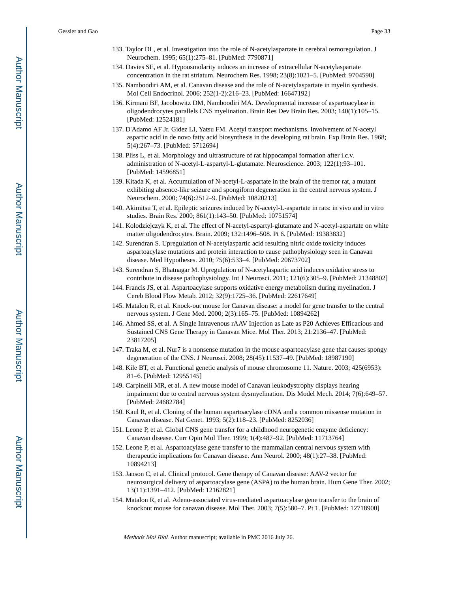- 133. Taylor DL, et al. Investigation into the role of N-acetylaspartate in cerebral osmoregulation. J Neurochem. 1995; 65(1):275–81. [PubMed: 7790871]
- 134. Davies SE, et al. Hypoosmolarity induces an increase of extracellular N-acetylaspartate concentration in the rat striatum. Neurochem Res. 1998; 23(8):1021–5. [PubMed: 9704590]
- 135. Namboodiri AM, et al. Canavan disease and the role of N-acetylaspartate in myelin synthesis. Mol Cell Endocrinol. 2006; 252(1-2):216–23. [PubMed: 16647192]
- 136. Kirmani BF, Jacobowitz DM, Namboodiri MA. Developmental increase of aspartoacylase in oligodendrocytes parallels CNS myelination. Brain Res Dev Brain Res. 2003; 140(1):105–15. [PubMed: 12524181]
- 137. D'Adamo AF Jr. Gidez LI, Yatsu FM. Acetyl transport mechanisms. Involvement of N-acetyl aspartic acid in de novo fatty acid biosynthesis in the developing rat brain. Exp Brain Res. 1968; 5(4):267–73. [PubMed: 5712694]
- 138. Pliss L, et al. Morphology and ultrastructure of rat hippocampal formation after i.c.v. administration of N-acetyl-L-aspartyl-L-glutamate. Neuroscience. 2003; 122(1):93–101. [PubMed: 14596851]
- 139. Kitada K, et al. Accumulation of N-acetyl-L-aspartate in the brain of the tremor rat, a mutant exhibiting absence-like seizure and spongiform degeneration in the central nervous system. J Neurochem. 2000; 74(6):2512–9. [PubMed: 10820213]
- 140. Akimitsu T, et al. Epileptic seizures induced by N-acetyl-L-aspartate in rats: in vivo and in vitro studies. Brain Res. 2000; 861(1):143–50. [PubMed: 10751574]
- 141. Kolodziejczyk K, et al. The effect of N-acetyl-aspartyl-glutamate and N-acetyl-aspartate on white matter oligodendrocytes. Brain. 2009; 132:1496–508. Pt 6. [PubMed: 19383832]
- 142. Surendran S. Upregulation of N-acetylaspartic acid resulting nitric oxide toxicity induces aspartoacylase mutations and protein interaction to cause pathophysiology seen in Canavan disease. Med Hypotheses. 2010; 75(6):533–4. [PubMed: 20673702]
- 143. Surendran S, Bhatnagar M. Upregulation of N-acetylaspartic acid induces oxidative stress to contribute in disease pathophysiology. Int J Neurosci. 2011; 121(6):305–9. [PubMed: 21348802]
- 144. Francis JS, et al. Aspartoacylase supports oxidative energy metabolism during myelination. J Cereb Blood Flow Metab. 2012; 32(9):1725–36. [PubMed: 22617649]
- 145. Matalon R, et al. Knock-out mouse for Canavan disease: a model for gene transfer to the central nervous system. J Gene Med. 2000; 2(3):165–75. [PubMed: 10894262]
- 146. Ahmed SS, et al. A Single Intravenous rAAV Injection as Late as P20 Achieves Efficacious and Sustained CNS Gene Therapy in Canavan Mice. Mol Ther. 2013; 21:2136–47. [PubMed: 23817205]
- 147. Traka M, et al. Nur7 is a nonsense mutation in the mouse aspartoacylase gene that causes spongy degeneration of the CNS. J Neurosci. 2008; 28(45):11537–49. [PubMed: 18987190]
- 148. Kile BT, et al. Functional genetic analysis of mouse chromosome 11. Nature. 2003; 425(6953): 81–6. [PubMed: 12955145]
- 149. Carpinelli MR, et al. A new mouse model of Canavan leukodystrophy displays hearing impairment due to central nervous system dysmyelination. Dis Model Mech. 2014; 7(6):649–57. [PubMed: 24682784]
- 150. Kaul R, et al. Cloning of the human aspartoacylase cDNA and a common missense mutation in Canavan disease. Nat Genet. 1993; 5(2):118–23. [PubMed: 8252036]
- 151. Leone P, et al. Global CNS gene transfer for a childhood neurogenetic enzyme deficiency: Canavan disease. Curr Opin Mol Ther. 1999; 1(4):487–92. [PubMed: 11713764]
- 152. Leone P, et al. Aspartoacylase gene transfer to the mammalian central nervous system with therapeutic implications for Canavan disease. Ann Neurol. 2000; 48(1):27–38. [PubMed: 10894213]
- 153. Janson C, et al. Clinical protocol. Gene therapy of Canavan disease: AAV-2 vector for neurosurgical delivery of aspartoacylase gene (ASPA) to the human brain. Hum Gene Ther. 2002; 13(11):1391–412. [PubMed: 12162821]
- 154. Matalon R, et al. Adeno-associated virus-mediated aspartoacylase gene transfer to the brain of knockout mouse for canavan disease. Mol Ther. 2003; 7(5):580–7. Pt 1. [PubMed: 12718900]